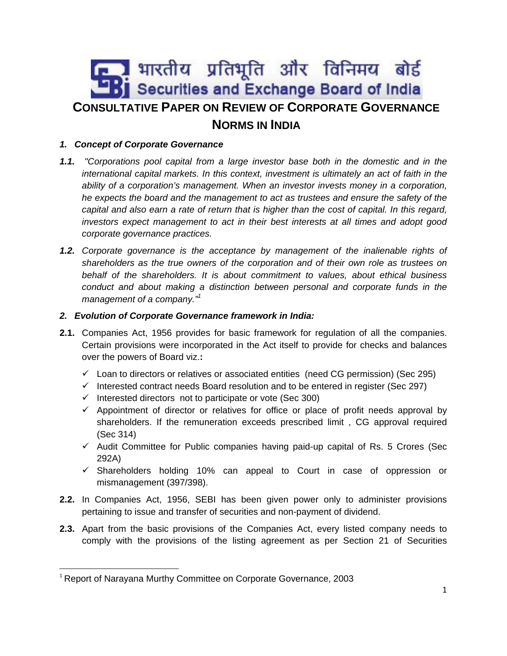# **CONSULTATIVE PAPER ON REVIEW OF CORPORATE GOVERNANCE**

# **NORMS IN INDIA**

## *1. Concept of Corporate Governance*

- *1.1. "Corporations pool capital from a large investor base both in the domestic and in the international capital markets. In this context, investment is ultimately an act of faith in the ability of a corporation's management. When an investor invests money in a corporation, he expects the board and the management to act as trustees and ensure the safety of the capital and also earn a rate of return that is higher than the cost of capital. In this regard, investors expect management to act in their best interests at all times and adopt good corporate governance practices.*
- **1.2.** Corporate governance is the acceptance by management of the inalienable rights of *shareholders as the true owners of the corporation and of their own role as trustees on behalf of the shareholders. It is about commitment to values, about ethical business conduct and about making a distinction between personal and corporate funds in the management of a company."1*

#### *2. Evolution of Corporate Governance framework in India:*

- **2.1.** Companies Act, 1956 provides for basic framework for regulation of all the companies. Certain provisions were incorporated in the Act itself to provide for checks and balances over the powers of Board viz.**:**
	- $\checkmark$  Loan to directors or relatives or associated entities (need CG permission) (Sec 295)
	- $\checkmark$  Interested contract needs Board resolution and to be entered in register (Sec 297)
	- $\checkmark$  Interested directors not to participate or vote (Sec 300)
	- $\checkmark$  Appointment of director or relatives for office or place of profit needs approval by shareholders. If the remuneration exceeds prescribed limit , CG approval required (Sec 314)
	- $\checkmark$  Audit Committee for Public companies having paid-up capital of Rs. 5 Crores (Sec 292A)
	- $\checkmark$  Shareholders holding 10% can appeal to Court in case of oppression or mismanagement (397/398).
- **2.2.** In Companies Act, 1956, SEBI has been given power only to administer provisions pertaining to issue and transfer of securities and non-payment of dividend.
- **2.3.** Apart from the basic provisions of the Companies Act, every listed company needs to comply with the provisions of the listing agreement as per Section 21 of Securities

<sup>&</sup>lt;sup>1</sup> Report of Narayana Murthy Committee on Corporate Governance, 2003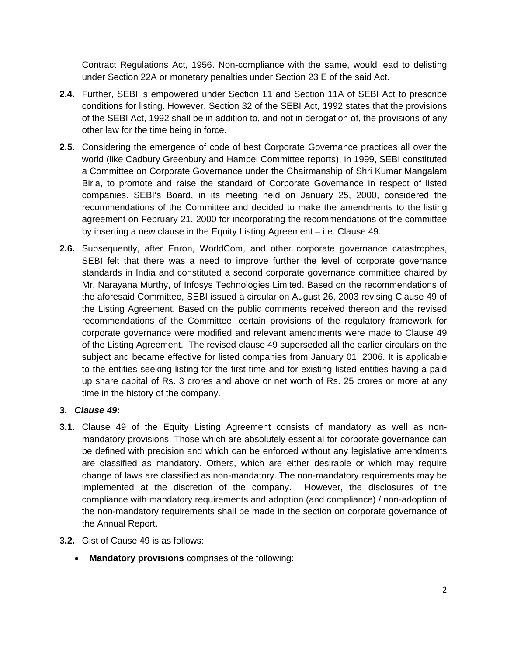Contract Regulations Act, 1956. Non-compliance with the same, would lead to delisting under Section 22A or monetary penalties under Section 23 E of the said Act.

- **2.4.** Further, SEBI is empowered under Section 11 and Section 11A of SEBI Act to prescribe conditions for listing. However, Section 32 of the SEBI Act, 1992 states that the provisions of the SEBI Act, 1992 shall be in addition to, and not in derogation of, the provisions of any other law for the time being in force.
- **2.5.** Considering the emergence of code of best Corporate Governance practices all over the world (like Cadbury Greenbury and Hampel Committee reports), in 1999, SEBI constituted a Committee on Corporate Governance under the Chairmanship of Shri Kumar Mangalam Birla, to promote and raise the standard of Corporate Governance in respect of listed companies. SEBI's Board, in its meeting held on January 25, 2000, considered the recommendations of the Committee and decided to make the amendments to the listing agreement on February 21, 2000 for incorporating the recommendations of the committee by inserting a new clause in the Equity Listing Agreement – i.e. Clause 49.
- **2.6.** Subsequently, after Enron, WorldCom, and other corporate governance catastrophes, SEBI felt that there was a need to improve further the level of corporate governance standards in India and constituted a second corporate governance committee chaired by Mr. Narayana Murthy, of Infosys Technologies Limited. Based on the recommendations of the aforesaid Committee, SEBI issued a circular on August 26, 2003 revising Clause 49 of the Listing Agreement. Based on the public comments received thereon and the revised recommendations of the Committee, certain provisions of the regulatory framework for corporate governance were modified and relevant amendments were made to Clause 49 of the Listing Agreement. The revised clause 49 superseded all the earlier circulars on the subject and became effective for listed companies from January 01, 2006. It is applicable to the entities seeking listing for the first time and for existing listed entities having a paid up share capital of Rs. 3 crores and above or net worth of Rs. 25 crores or more at any time in the history of the company.

#### **3.** *Clause 49***:**

- **3.1.** Clause 49 of the Equity Listing Agreement consists of mandatory as well as nonmandatory provisions. Those which are absolutely essential for corporate governance can be defined with precision and which can be enforced without any legislative amendments are classified as mandatory. Others, which are either desirable or which may require change of laws are classified as non-mandatory. The non-mandatory requirements may be implemented at the discretion of the company. However, the disclosures of the compliance with mandatory requirements and adoption (and compliance) / non-adoption of the non-mandatory requirements shall be made in the section on corporate governance of the Annual Report.
- **3.2.** Gist of Cause 49 is as follows:
	- **Mandatory provisions** comprises of the following: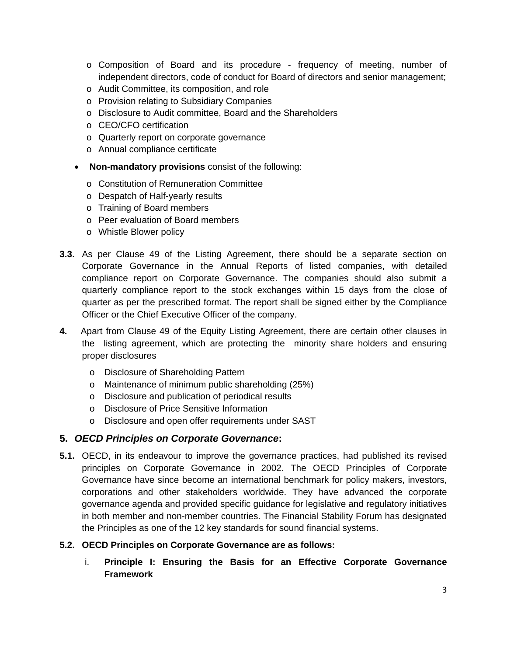- o Composition of Board and its procedure frequency of meeting, number of independent directors, code of conduct for Board of directors and senior management;
- o Audit Committee, its composition, and role
- o Provision relating to Subsidiary Companies
- o Disclosure to Audit committee, Board and the Shareholders
- o CEO/CFO certification
- o Quarterly report on corporate governance
- o Annual compliance certificate
- **Non-mandatory provisions** consist of the following:
	- o Constitution of Remuneration Committee
	- o Despatch of Half-yearly results
	- o Training of Board members
	- o Peer evaluation of Board members
	- o Whistle Blower policy
- **3.3.** As per Clause 49 of the Listing Agreement, there should be a separate section on Corporate Governance in the Annual Reports of listed companies, with detailed compliance report on Corporate Governance. The companies should also submit a quarterly compliance report to the stock exchanges within 15 days from the close of quarter as per the prescribed format. The report shall be signed either by the Compliance Officer or the Chief Executive Officer of the company.
- **4.** Apart from Clause 49 of the Equity Listing Agreement, there are certain other clauses in the listing agreement, which are protecting the minority share holders and ensuring proper disclosures
	- o Disclosure of Shareholding Pattern
	- o Maintenance of minimum public shareholding (25%)
	- o Disclosure and publication of periodical results
	- o Disclosure of Price Sensitive Information
	- o Disclosure and open offer requirements under SAST

#### **5.** *OECD Principles on Corporate Governance***:**

**5.1.** OECD, in its endeavour to improve the governance practices, had published its revised principles on Corporate Governance in 2002. The OECD Principles of Corporate Governance have since become an international benchmark for policy makers, investors, corporations and other stakeholders worldwide. They have advanced the corporate governance agenda and provided specific guidance for legislative and regulatory initiatives in both member and non-member countries. The Financial Stability Forum has designated the Principles as one of the 12 key standards for sound financial systems.

#### **5.2. OECD Principles on Corporate Governance are as follows:**

i. **Principle I: Ensuring the Basis for an Effective Corporate Governance Framework**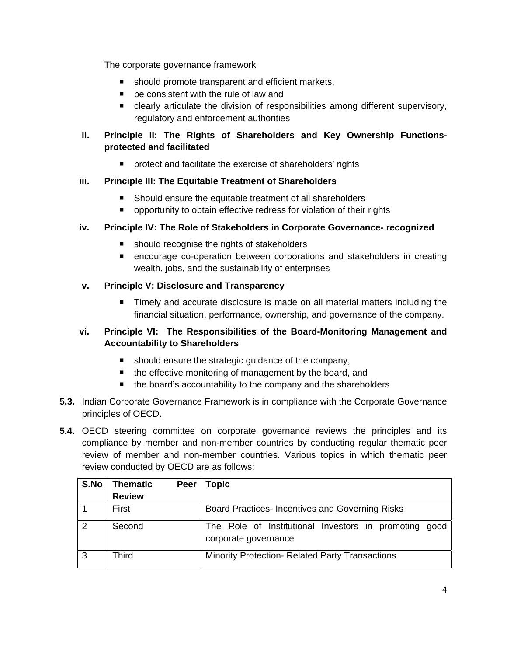The corporate governance framework

- **should promote transparent and efficient markets,**
- be consistent with the rule of law and
- clearly articulate the division of responsibilities among different supervisory, regulatory and enforcement authorities

# **ii. Principle II: The Rights of Shareholders and Key Ownership Functionsprotected and facilitated**

**P** protect and facilitate the exercise of shareholders' rights

## **iii. Principle III: The Equitable Treatment of Shareholders**

- Should ensure the equitable treatment of all shareholders
- **pediaty** opportunity to obtain effective redress for violation of their rights

## **iv. Principle IV: The Role of Stakeholders in Corporate Governance- recognized**

- should recognise the rights of stakeholders
- encourage co-operation between corporations and stakeholders in creating wealth, jobs, and the sustainability of enterprises

## **v. Principle V: Disclosure and Transparency**

■ Timely and accurate disclosure is made on all material matters including the financial situation, performance, ownership, and governance of the company.

## **vi. Principle VI: The Responsibilities of the Board-Monitoring Management and Accountability to Shareholders**

- should ensure the strategic guidance of the company,
- the effective monitoring of management by the board, and
- the board's accountability to the company and the shareholders
- **5.3.** Indian Corporate Governance Framework is in compliance with the Corporate Governance principles of OECD.
- **5.4.** OECD steering committee on corporate governance reviews the principles and its compliance by member and non-member countries by conducting regular thematic peer review of member and non-member countries. Various topics in which thematic peer review conducted by OECD are as follows:

| S.No | <b>Thematic</b><br>Peer | Topic                                                                            |
|------|-------------------------|----------------------------------------------------------------------------------|
|      | <b>Review</b>           |                                                                                  |
|      | First                   | <b>Board Practices- Incentives and Governing Risks</b>                           |
| 2    | Second                  | The Role of Institutional Investors in promoting<br>aood<br>corporate governance |
| 3    | <b>Third</b>            | <b>Minority Protection- Related Party Transactions</b>                           |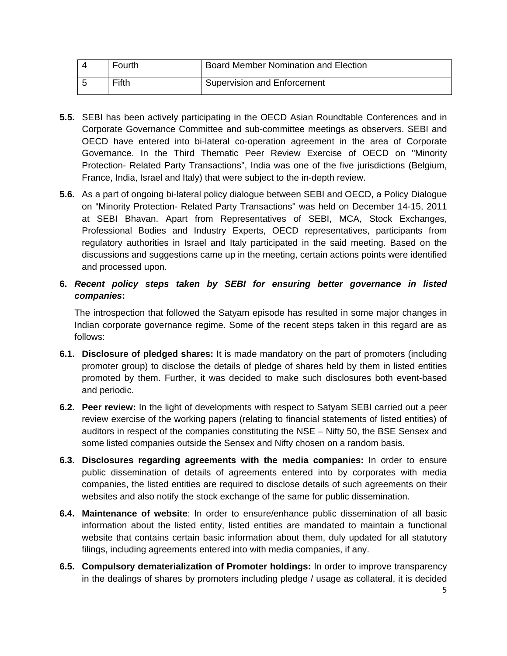| Fourth | <b>Board Member Nomination and Election</b> |
|--------|---------------------------------------------|
| Fifth  | <b>Supervision and Enforcement</b>          |

- **5.5.** SEBI has been actively participating in the OECD Asian Roundtable Conferences and in Corporate Governance Committee and sub-committee meetings as observers. SEBI and OECD have entered into bi-lateral co-operation agreement in the area of Corporate Governance. In the Third Thematic Peer Review Exercise of OECD on "Minority Protection- Related Party Transactions", India was one of the five jurisdictions (Belgium, France, India, Israel and Italy) that were subject to the in-depth review.
- **5.6.** As a part of ongoing bi-lateral policy dialogue between SEBI and OECD, a Policy Dialogue on "Minority Protection- Related Party Transactions" was held on December 14-15, 2011 at SEBI Bhavan. Apart from Representatives of SEBI, MCA, Stock Exchanges, Professional Bodies and Industry Experts, OECD representatives, participants from regulatory authorities in Israel and Italy participated in the said meeting. Based on the discussions and suggestions came up in the meeting, certain actions points were identified and processed upon.
- **6.** *Recent policy steps taken by SEBI for ensuring better governance in listed companies***:**

The introspection that followed the Satyam episode has resulted in some major changes in Indian corporate governance regime. Some of the recent steps taken in this regard are as follows:

- **6.1. Disclosure of pledged shares:** It is made mandatory on the part of promoters (including promoter group) to disclose the details of pledge of shares held by them in listed entities promoted by them. Further, it was decided to make such disclosures both event-based and periodic.
- **6.2. Peer review:** In the light of developments with respect to Satyam SEBI carried out a peer review exercise of the working papers (relating to financial statements of listed entities) of auditors in respect of the companies constituting the NSE – Nifty 50, the BSE Sensex and some listed companies outside the Sensex and Nifty chosen on a random basis.
- **6.3. Disclosures regarding agreements with the media companies:** In order to ensure public dissemination of details of agreements entered into by corporates with media companies, the listed entities are required to disclose details of such agreements on their websites and also notify the stock exchange of the same for public dissemination.
- **6.4. Maintenance of website**: In order to ensure/enhance public dissemination of all basic information about the listed entity, listed entities are mandated to maintain a functional website that contains certain basic information about them, duly updated for all statutory filings, including agreements entered into with media companies, if any.
- **6.5. Compulsory dematerialization of Promoter holdings:** In order to improve transparency in the dealings of shares by promoters including pledge / usage as collateral, it is decided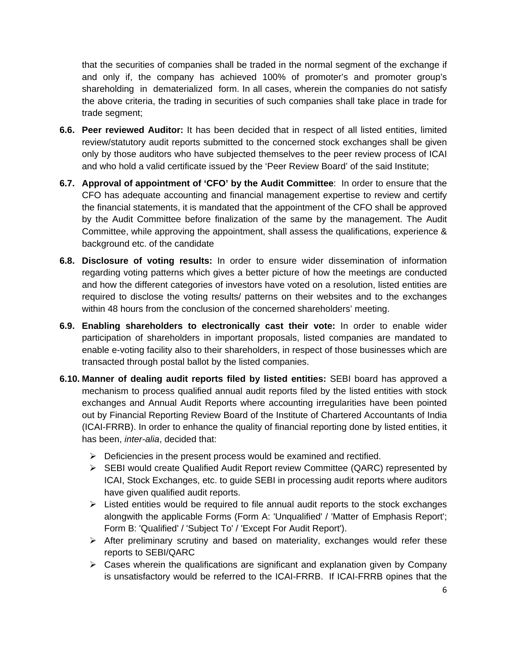that the securities of companies shall be traded in the normal segment of the exchange if and only if, the company has achieved 100% of promoter's and promoter group's shareholding in dematerialized form. In all cases, wherein the companies do not satisfy the above criteria, the trading in securities of such companies shall take place in trade for trade segment;

- **6.6. Peer reviewed Auditor:** It has been decided that in respect of all listed entities, limited review/statutory audit reports submitted to the concerned stock exchanges shall be given only by those auditors who have subjected themselves to the peer review process of ICAI and who hold a valid certificate issued by the 'Peer Review Board' of the said Institute;
- **6.7. Approval of appointment of 'CFO' by the Audit Committee**: In order to ensure that the CFO has adequate accounting and financial management expertise to review and certify the financial statements, it is mandated that the appointment of the CFO shall be approved by the Audit Committee before finalization of the same by the management. The Audit Committee, while approving the appointment, shall assess the qualifications, experience & background etc. of the candidate
- **6.8. Disclosure of voting results:** In order to ensure wider dissemination of information regarding voting patterns which gives a better picture of how the meetings are conducted and how the different categories of investors have voted on a resolution, listed entities are required to disclose the voting results/ patterns on their websites and to the exchanges within 48 hours from the conclusion of the concerned shareholders' meeting.
- **6.9. Enabling shareholders to electronically cast their vote:** In order to enable wider participation of shareholders in important proposals, listed companies are mandated to enable e-voting facility also to their shareholders, in respect of those businesses which are transacted through postal ballot by the listed companies.
- **6.10. Manner of dealing audit reports filed by listed entities:** SEBI board has approved a mechanism to process qualified annual audit reports filed by the listed entities with stock exchanges and Annual Audit Reports where accounting irregularities have been pointed out by Financial Reporting Review Board of the Institute of Chartered Accountants of India (ICAI-FRRB). In order to enhance the quality of financial reporting done by listed entities, it has been, *inter-alia*, decided that:
	- $\triangleright$  Deficiencies in the present process would be examined and rectified.
	- SEBI would create Qualified Audit Report review Committee (QARC) represented by ICAI, Stock Exchanges, etc. to guide SEBI in processing audit reports where auditors have given qualified audit reports.
	- $\triangleright$  Listed entities would be required to file annual audit reports to the stock exchanges alongwith the applicable Forms (Form A: 'Unqualified' / 'Matter of Emphasis Report'; Form B: 'Qualified' / 'Subject To' / 'Except For Audit Report').
	- $\triangleright$  After preliminary scrutiny and based on materiality, exchanges would refer these reports to SEBI/QARC
	- $\triangleright$  Cases wherein the qualifications are significant and explanation given by Company is unsatisfactory would be referred to the ICAI-FRRB. If ICAI-FRRB opines that the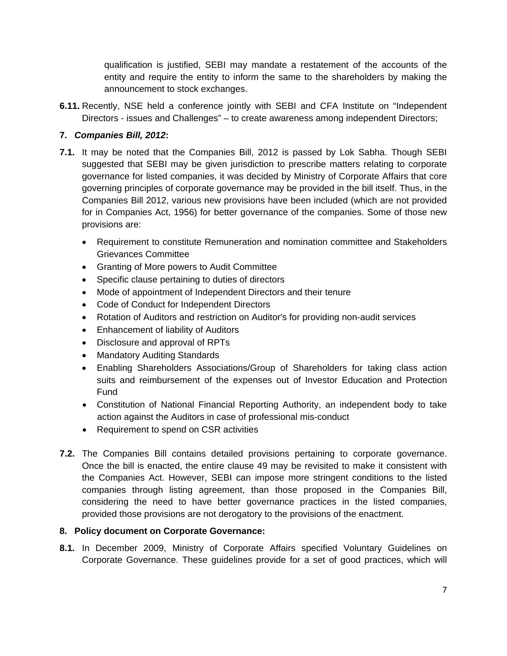qualification is justified, SEBI may mandate a restatement of the accounts of the entity and require the entity to inform the same to the shareholders by making the announcement to stock exchanges.

**6.11.** Recently, NSE held a conference jointly with SEBI and CFA Institute on "Independent Directors - issues and Challenges" – to create awareness among independent Directors;

# **7.** *Companies Bill, 2012***:**

- **7.1.** It may be noted that the Companies Bill, 2012 is passed by Lok Sabha. Though SEBI suggested that SEBI may be given jurisdiction to prescribe matters relating to corporate governance for listed companies, it was decided by Ministry of Corporate Affairs that core governing principles of corporate governance may be provided in the bill itself. Thus, in the Companies Bill 2012, various new provisions have been included (which are not provided for in Companies Act, 1956) for better governance of the companies. Some of those new provisions are:
	- Requirement to constitute Remuneration and nomination committee and Stakeholders Grievances Committee
	- Granting of More powers to Audit Committee
	- Specific clause pertaining to duties of directors
	- Mode of appointment of Independent Directors and their tenure
	- Code of Conduct for Independent Directors
	- Rotation of Auditors and restriction on Auditor's for providing non-audit services
	- Enhancement of liability of Auditors
	- Disclosure and approval of RPTs
	- Mandatory Auditing Standards
	- Enabling Shareholders Associations/Group of Shareholders for taking class action suits and reimbursement of the expenses out of Investor Education and Protection Fund
	- Constitution of National Financial Reporting Authority, an independent body to take action against the Auditors in case of professional mis-conduct
	- Requirement to spend on CSR activities
- **7.2.** The Companies Bill contains detailed provisions pertaining to corporate governance. Once the bill is enacted, the entire clause 49 may be revisited to make it consistent with the Companies Act. However, SEBI can impose more stringent conditions to the listed companies through listing agreement, than those proposed in the Companies Bill, considering the need to have better governance practices in the listed companies, provided those provisions are not derogatory to the provisions of the enactment.

# **8. Policy document on Corporate Governance:**

**8.1.** In December 2009, Ministry of Corporate Affairs specified Voluntary Guidelines on Corporate Governance. These guidelines provide for a set of good practices, which will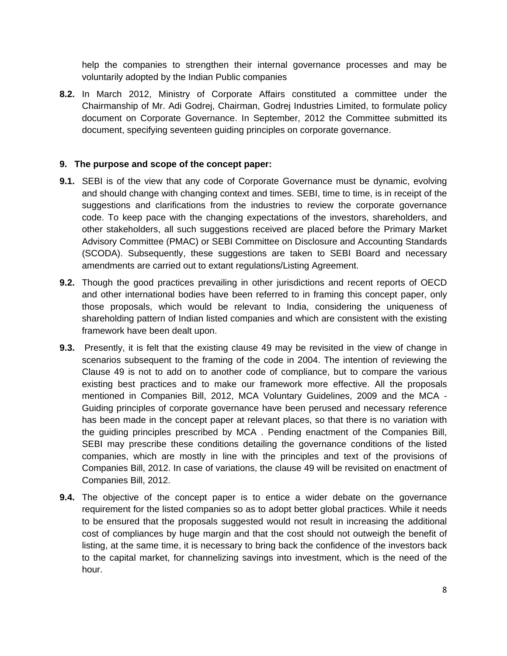help the companies to strengthen their internal governance processes and may be voluntarily adopted by the Indian Public companies

**8.2.** In March 2012, Ministry of Corporate Affairs constituted a committee under the Chairmanship of Mr. Adi Godrej, Chairman, Godrej Industries Limited, to formulate policy document on Corporate Governance. In September, 2012 the Committee submitted its document, specifying seventeen guiding principles on corporate governance.

### **9. The purpose and scope of the concept paper:**

- **9.1.** SEBI is of the view that any code of Corporate Governance must be dynamic, evolving and should change with changing context and times. SEBI, time to time, is in receipt of the suggestions and clarifications from the industries to review the corporate governance code. To keep pace with the changing expectations of the investors, shareholders, and other stakeholders, all such suggestions received are placed before the Primary Market Advisory Committee (PMAC) or SEBI Committee on Disclosure and Accounting Standards (SCODA). Subsequently, these suggestions are taken to SEBI Board and necessary amendments are carried out to extant regulations/Listing Agreement.
- **9.2.** Though the good practices prevailing in other jurisdictions and recent reports of OECD and other international bodies have been referred to in framing this concept paper, only those proposals, which would be relevant to India, considering the uniqueness of shareholding pattern of Indian listed companies and which are consistent with the existing framework have been dealt upon.
- **9.3.** Presently, it is felt that the existing clause 49 may be revisited in the view of change in scenarios subsequent to the framing of the code in 2004. The intention of reviewing the Clause 49 is not to add on to another code of compliance, but to compare the various existing best practices and to make our framework more effective. All the proposals mentioned in Companies Bill, 2012, MCA Voluntary Guidelines, 2009 and the MCA - Guiding principles of corporate governance have been perused and necessary reference has been made in the concept paper at relevant places, so that there is no variation with the guiding principles prescribed by MCA . Pending enactment of the Companies Bill, SEBI may prescribe these conditions detailing the governance conditions of the listed companies, which are mostly in line with the principles and text of the provisions of Companies Bill, 2012. In case of variations, the clause 49 will be revisited on enactment of Companies Bill, 2012.
- **9.4.** The objective of the concept paper is to entice a wider debate on the governance requirement for the listed companies so as to adopt better global practices. While it needs to be ensured that the proposals suggested would not result in increasing the additional cost of compliances by huge margin and that the cost should not outweigh the benefit of listing, at the same time, it is necessary to bring back the confidence of the investors back to the capital market, for channelizing savings into investment, which is the need of the hour.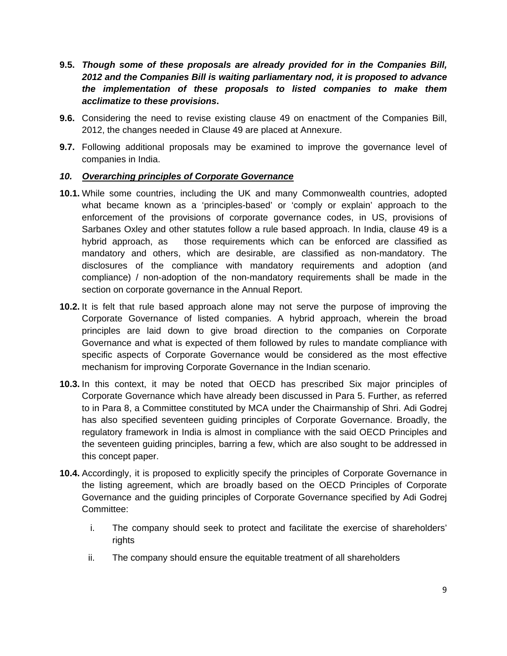- **9.5.** *Though some of these proposals are already provided for in the Companies Bill, 2012 and the Companies Bill is waiting parliamentary nod, it is proposed to advance the implementation of these proposals to listed companies to make them acclimatize to these provisions***.**
- **9.6.** Considering the need to revise existing clause 49 on enactment of the Companies Bill, 2012, the changes needed in Clause 49 are placed at Annexure.
- **9.7.** Following additional proposals may be examined to improve the governance level of companies in India.

## *10. Overarching principles of Corporate Governance*

- **10.1.** While some countries, including the UK and many Commonwealth countries, adopted what became known as a 'principles-based' or 'comply or explain' approach to the enforcement of the provisions of corporate governance codes, in US, provisions of Sarbanes Oxley and other statutes follow a rule based approach. In India, clause 49 is a hybrid approach, as those requirements which can be enforced are classified as mandatory and others, which are desirable, are classified as non-mandatory. The disclosures of the compliance with mandatory requirements and adoption (and compliance) / non-adoption of the non-mandatory requirements shall be made in the section on corporate governance in the Annual Report.
- **10.2.** It is felt that rule based approach alone may not serve the purpose of improving the Corporate Governance of listed companies. A hybrid approach, wherein the broad principles are laid down to give broad direction to the companies on Corporate Governance and what is expected of them followed by rules to mandate compliance with specific aspects of Corporate Governance would be considered as the most effective mechanism for improving Corporate Governance in the Indian scenario.
- **10.3.** In this context, it may be noted that OECD has prescribed Six major principles of Corporate Governance which have already been discussed in Para 5. Further, as referred to in Para 8, a Committee constituted by MCA under the Chairmanship of Shri. Adi Godrej has also specified seventeen guiding principles of Corporate Governance. Broadly, the regulatory framework in India is almost in compliance with the said OECD Principles and the seventeen guiding principles, barring a few, which are also sought to be addressed in this concept paper.
- **10.4.** Accordingly, it is proposed to explicitly specify the principles of Corporate Governance in the listing agreement, which are broadly based on the OECD Principles of Corporate Governance and the guiding principles of Corporate Governance specified by Adi Godrej Committee:
	- i. The company should seek to protect and facilitate the exercise of shareholders' rights
	- ii. The company should ensure the equitable treatment of all shareholders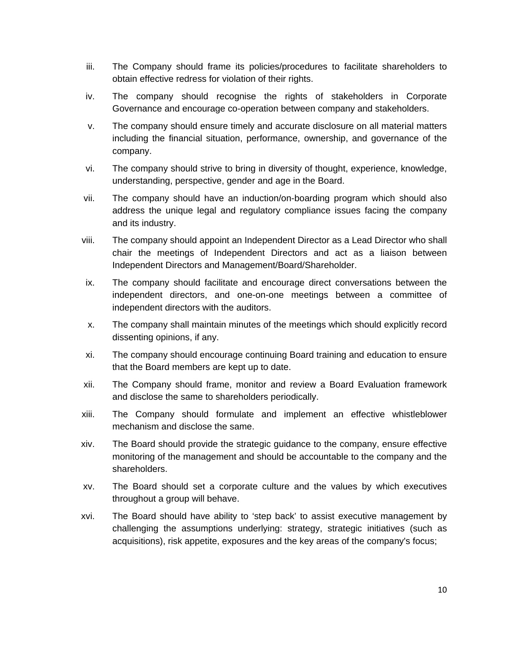- iii. The Company should frame its policies/procedures to facilitate shareholders to obtain effective redress for violation of their rights.
- iv. The company should recognise the rights of stakeholders in Corporate Governance and encourage co-operation between company and stakeholders.
- v. The company should ensure timely and accurate disclosure on all material matters including the financial situation, performance, ownership, and governance of the company.
- vi. The company should strive to bring in diversity of thought, experience, knowledge, understanding, perspective, gender and age in the Board.
- vii. The company should have an induction/on-boarding program which should also address the unique legal and regulatory compliance issues facing the company and its industry.
- viii. The company should appoint an Independent Director as a Lead Director who shall chair the meetings of Independent Directors and act as a liaison between Independent Directors and Management/Board/Shareholder.
- ix. The company should facilitate and encourage direct conversations between the independent directors, and one-on-one meetings between a committee of independent directors with the auditors.
- x. The company shall maintain minutes of the meetings which should explicitly record dissenting opinions, if any.
- xi. The company should encourage continuing Board training and education to ensure that the Board members are kept up to date.
- xii. The Company should frame, monitor and review a Board Evaluation framework and disclose the same to shareholders periodically.
- xiii. The Company should formulate and implement an effective whistleblower mechanism and disclose the same.
- xiv. The Board should provide the strategic guidance to the company, ensure effective monitoring of the management and should be accountable to the company and the shareholders.
- xv. The Board should set a corporate culture and the values by which executives throughout a group will behave.
- xvi. The Board should have ability to 'step back' to assist executive management by challenging the assumptions underlying: strategy, strategic initiatives (such as acquisitions), risk appetite, exposures and the key areas of the company's focus;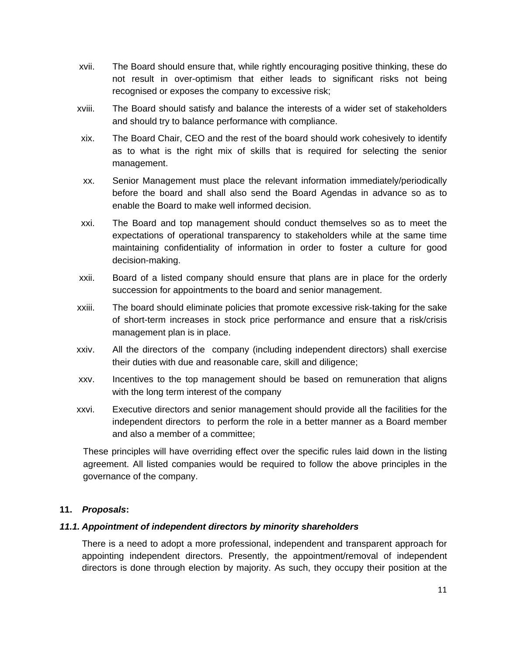- xvii. The Board should ensure that, while rightly encouraging positive thinking, these do not result in over-optimism that either leads to significant risks not being recognised or exposes the company to excessive risk;
- xviii. The Board should satisfy and balance the interests of a wider set of stakeholders and should try to balance performance with compliance.
- xix. The Board Chair, CEO and the rest of the board should work cohesively to identify as to what is the right mix of skills that is required for selecting the senior management.
- xx. Senior Management must place the relevant information immediately/periodically before the board and shall also send the Board Agendas in advance so as to enable the Board to make well informed decision.
- xxi. The Board and top management should conduct themselves so as to meet the expectations of operational transparency to stakeholders while at the same time maintaining confidentiality of information in order to foster a culture for good decision-making.
- xxii. Board of a listed company should ensure that plans are in place for the orderly succession for appointments to the board and senior management.
- xxiii. The board should eliminate policies that promote excessive risk-taking for the sake of short-term increases in stock price performance and ensure that a risk/crisis management plan is in place.
- xxiv. All the directors of the company (including independent directors) shall exercise their duties with due and reasonable care, skill and diligence;
- xxv. Incentives to the top management should be based on remuneration that aligns with the long term interest of the company
- xxvi. Executive directors and senior management should provide all the facilities for the independent directors to perform the role in a better manner as a Board member and also a member of a committee;

These principles will have overriding effect over the specific rules laid down in the listing agreement. All listed companies would be required to follow the above principles in the governance of the company.

#### **11.** *Proposals***:**

#### *11.1. Appointment of independent directors by minority shareholders*

There is a need to adopt a more professional, independent and transparent approach for appointing independent directors. Presently, the appointment/removal of independent directors is done through election by majority. As such, they occupy their position at the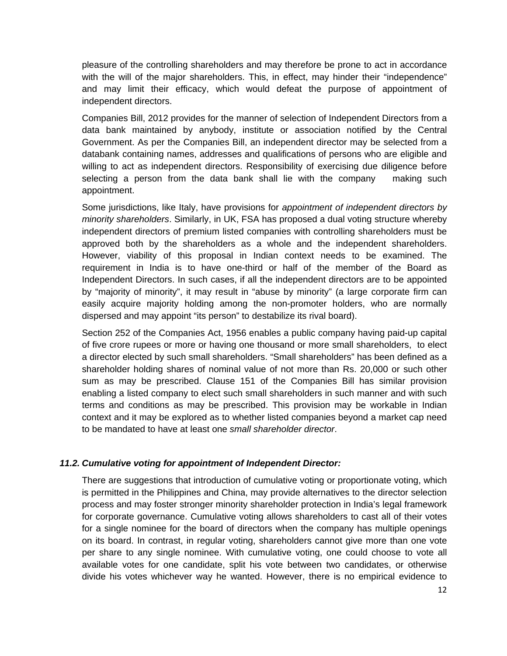pleasure of the controlling shareholders and may therefore be prone to act in accordance with the will of the major shareholders. This, in effect, may hinder their "independence" and may limit their efficacy, which would defeat the purpose of appointment of independent directors.

Companies Bill, 2012 provides for the manner of selection of Independent Directors from a data bank maintained by anybody, institute or association notified by the Central Government. As per the Companies Bill, an independent director may be selected from a databank containing names, addresses and qualifications of persons who are eligible and willing to act as independent directors. Responsibility of exercising due diligence before selecting a person from the data bank shall lie with the company making such appointment.

Some jurisdictions, like Italy, have provisions for *appointment of independent directors by minority shareholders*. Similarly, in UK, FSA has proposed a dual voting structure whereby independent directors of premium listed companies with controlling shareholders must be approved both by the shareholders as a whole and the independent shareholders. However, viability of this proposal in Indian context needs to be examined. The requirement in India is to have one-third or half of the member of the Board as Independent Directors. In such cases, if all the independent directors are to be appointed by "majority of minority", it may result in "abuse by minority" (a large corporate firm can easily acquire majority holding among the non-promoter holders, who are normally dispersed and may appoint "its person" to destabilize its rival board).

Section 252 of the Companies Act, 1956 enables a public company having paid-up capital of five crore rupees or more or having one thousand or more small shareholders, to elect a director elected by such small shareholders. "Small shareholders" has been defined as a shareholder holding shares of nominal value of not more than Rs. 20,000 or such other sum as may be prescribed. Clause 151 of the Companies Bill has similar provision enabling a listed company to elect such small shareholders in such manner and with such terms and conditions as may be prescribed. This provision may be workable in Indian context and it may be explored as to whether listed companies beyond a market cap need to be mandated to have at least one *small shareholder director*.

#### *11.2. Cumulative voting for appointment of Independent Director:*

There are suggestions that introduction of cumulative voting or proportionate voting, which is permitted in the Philippines and China, may provide alternatives to the director selection process and may foster stronger minority shareholder protection in India's legal framework for corporate governance. Cumulative voting allows shareholders to cast all of their votes for a single nominee for the board of directors when the company has multiple openings on its board. In contrast, in regular voting, shareholders cannot give more than one vote per share to any single nominee. With cumulative voting, one could choose to vote all available votes for one candidate, split his vote between two candidates, or otherwise divide his votes whichever way he wanted. However, there is no empirical evidence to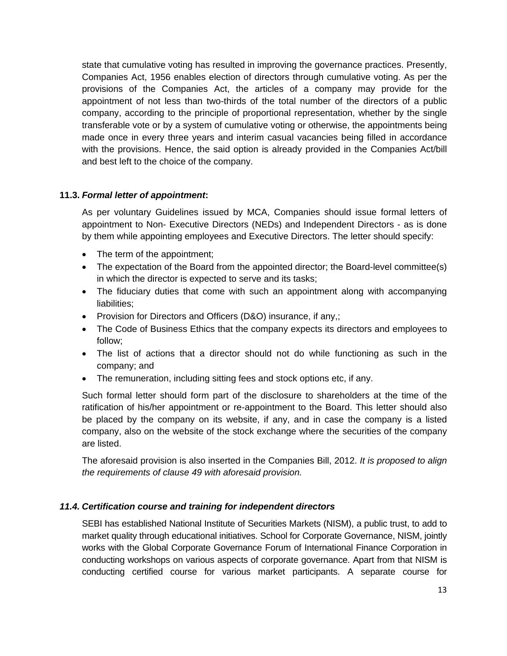state that cumulative voting has resulted in improving the governance practices. Presently, Companies Act, 1956 enables election of directors through cumulative voting. As per the provisions of the Companies Act, the articles of a company may provide for the appointment of not less than two-thirds of the total number of the directors of a public company, according to the principle of proportional representation, whether by the single transferable vote or by a system of cumulative voting or otherwise, the appointments being made once in every three years and interim casual vacancies being filled in accordance with the provisions. Hence, the said option is already provided in the Companies Act/bill and best left to the choice of the company.

## **11.3.** *Formal letter of appointment***:**

As per voluntary Guidelines issued by MCA, Companies should issue formal letters of appointment to Non- Executive Directors (NEDs) and Independent Directors - as is done by them while appointing employees and Executive Directors. The letter should specify:

- The term of the appointment;
- The expectation of the Board from the appointed director; the Board-level committee(s) in which the director is expected to serve and its tasks;
- The fiduciary duties that come with such an appointment along with accompanying liabilities;
- Provision for Directors and Officers (D&O) insurance, if any,;
- The Code of Business Ethics that the company expects its directors and employees to follow;
- The list of actions that a director should not do while functioning as such in the company; and
- The remuneration, including sitting fees and stock options etc, if any.

Such formal letter should form part of the disclosure to shareholders at the time of the ratification of his/her appointment or re-appointment to the Board. This letter should also be placed by the company on its website, if any, and in case the company is a listed company, also on the website of the stock exchange where the securities of the company are listed.

The aforesaid provision is also inserted in the Companies Bill, 2012. *It is proposed to align the requirements of clause 49 with aforesaid provision.* 

#### *11.4. Certification course and training for independent directors*

SEBI has established National Institute of Securities Markets (NISM), a public trust, to add to market quality through educational initiatives. School for Corporate Governance, NISM, jointly works with the Global Corporate Governance Forum of International Finance Corporation in conducting workshops on various aspects of corporate governance. Apart from that NISM is conducting certified course for various market participants. A separate course for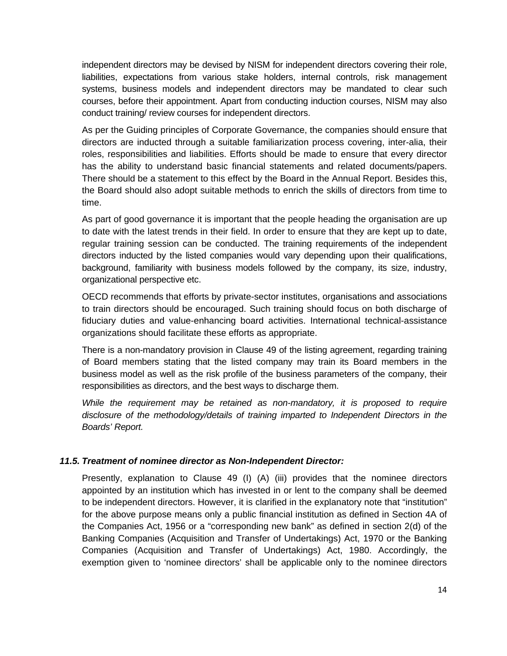independent directors may be devised by NISM for independent directors covering their role, liabilities, expectations from various stake holders, internal controls, risk management systems, business models and independent directors may be mandated to clear such courses, before their appointment. Apart from conducting induction courses, NISM may also conduct training/ review courses for independent directors.

As per the Guiding principles of Corporate Governance, the companies should ensure that directors are inducted through a suitable familiarization process covering, inter-alia, their roles, responsibilities and liabilities. Efforts should be made to ensure that every director has the ability to understand basic financial statements and related documents/papers. There should be a statement to this effect by the Board in the Annual Report. Besides this, the Board should also adopt suitable methods to enrich the skills of directors from time to time.

As part of good governance it is important that the people heading the organisation are up to date with the latest trends in their field. In order to ensure that they are kept up to date, regular training session can be conducted. The training requirements of the independent directors inducted by the listed companies would vary depending upon their qualifications, background, familiarity with business models followed by the company, its size, industry, organizational perspective etc.

OECD recommends that efforts by private-sector institutes, organisations and associations to train directors should be encouraged. Such training should focus on both discharge of fiduciary duties and value-enhancing board activities. International technical-assistance organizations should facilitate these efforts as appropriate.

There is a non-mandatory provision in Clause 49 of the listing agreement, regarding training of Board members stating that the listed company may train its Board members in the business model as well as the risk profile of the business parameters of the company, their responsibilities as directors, and the best ways to discharge them.

*While the requirement may be retained as non-mandatory, it is proposed to require disclosure of the methodology/details of training imparted to Independent Directors in the Boards' Report.* 

#### *11.5. Treatment of nominee director as Non-Independent Director:*

Presently, explanation to Clause 49 (I) (A) (iii) provides that the nominee directors appointed by an institution which has invested in or lent to the company shall be deemed to be independent directors. However, it is clarified in the explanatory note that "institution" for the above purpose means only a public financial institution as defined in Section 4A of the Companies Act, 1956 or a "corresponding new bank" as defined in section 2(d) of the Banking Companies (Acquisition and Transfer of Undertakings) Act, 1970 or the Banking Companies (Acquisition and Transfer of Undertakings) Act, 1980. Accordingly, the exemption given to 'nominee directors' shall be applicable only to the nominee directors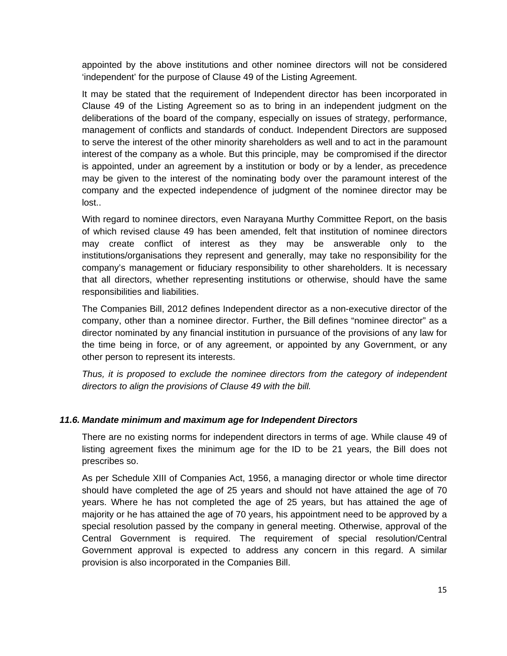appointed by the above institutions and other nominee directors will not be considered 'independent' for the purpose of Clause 49 of the Listing Agreement.

It may be stated that the requirement of Independent director has been incorporated in Clause 49 of the Listing Agreement so as to bring in an independent judgment on the deliberations of the board of the company, especially on issues of strategy, performance, management of conflicts and standards of conduct. Independent Directors are supposed to serve the interest of the other minority shareholders as well and to act in the paramount interest of the company as a whole. But this principle, may be compromised if the director is appointed, under an agreement by a institution or body or by a lender, as precedence may be given to the interest of the nominating body over the paramount interest of the company and the expected independence of judgment of the nominee director may be lost..

With regard to nominee directors, even Narayana Murthy Committee Report, on the basis of which revised clause 49 has been amended, felt that institution of nominee directors may create conflict of interest as they may be answerable only to the institutions/organisations they represent and generally, may take no responsibility for the company's management or fiduciary responsibility to other shareholders. It is necessary that all directors, whether representing institutions or otherwise, should have the same responsibilities and liabilities.

The Companies Bill, 2012 defines Independent director as a non-executive director of the company, other than a nominee director. Further, the Bill defines "nominee director" as a director nominated by any financial institution in pursuance of the provisions of any law for the time being in force, or of any agreement, or appointed by any Government, or any other person to represent its interests.

*Thus, it is proposed to exclude the nominee directors from the category of independent directors to align the provisions of Clause 49 with the bill.* 

#### *11.6. Mandate minimum and maximum age for Independent Directors*

There are no existing norms for independent directors in terms of age. While clause 49 of listing agreement fixes the minimum age for the ID to be 21 years, the Bill does not prescribes so.

As per Schedule XIII of Companies Act, 1956, a managing director or whole time director should have completed the age of 25 years and should not have attained the age of 70 years. Where he has not completed the age of 25 years, but has attained the age of majority or he has attained the age of 70 years, his appointment need to be approved by a special resolution passed by the company in general meeting. Otherwise, approval of the Central Government is required. The requirement of special resolution/Central Government approval is expected to address any concern in this regard. A similar provision is also incorporated in the Companies Bill.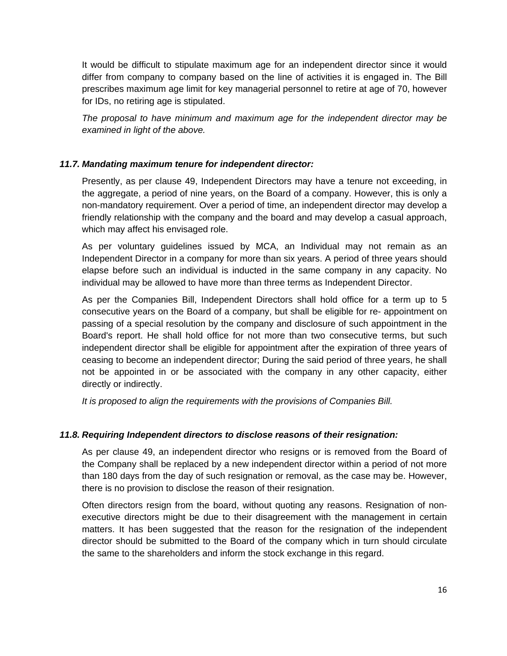It would be difficult to stipulate maximum age for an independent director since it would differ from company to company based on the line of activities it is engaged in. The Bill prescribes maximum age limit for key managerial personnel to retire at age of 70, however for IDs, no retiring age is stipulated.

*The proposal to have minimum and maximum age for the independent director may be examined in light of the above.* 

## *11.7. Mandating maximum tenure for independent director:*

Presently, as per clause 49, Independent Directors may have a tenure not exceeding, in the aggregate, a period of nine years, on the Board of a company. However, this is only a non-mandatory requirement. Over a period of time, an independent director may develop a friendly relationship with the company and the board and may develop a casual approach, which may affect his envisaged role.

As per voluntary guidelines issued by MCA, an Individual may not remain as an Independent Director in a company for more than six years. A period of three years should elapse before such an individual is inducted in the same company in any capacity. No individual may be allowed to have more than three terms as Independent Director.

As per the Companies Bill, Independent Directors shall hold office for a term up to 5 consecutive years on the Board of a company, but shall be eligible for re- appointment on passing of a special resolution by the company and disclosure of such appointment in the Board's report. He shall hold office for not more than two consecutive terms, but such independent director shall be eligible for appointment after the expiration of three years of ceasing to become an independent director; During the said period of three years, he shall not be appointed in or be associated with the company in any other capacity, either directly or indirectly.

*It is proposed to align the requirements with the provisions of Companies Bill.* 

#### *11.8. Requiring Independent directors to disclose reasons of their resignation:*

As per clause 49, an independent director who resigns or is removed from the Board of the Company shall be replaced by a new independent director within a period of not more than 180 days from the day of such resignation or removal, as the case may be. However, there is no provision to disclose the reason of their resignation.

Often directors resign from the board, without quoting any reasons. Resignation of nonexecutive directors might be due to their disagreement with the management in certain matters. It has been suggested that the reason for the resignation of the independent director should be submitted to the Board of the company which in turn should circulate the same to the shareholders and inform the stock exchange in this regard.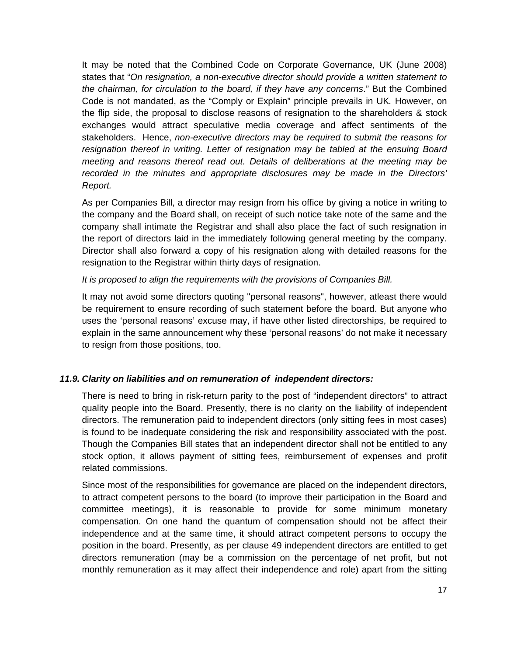It may be noted that the Combined Code on Corporate Governance, UK (June 2008) states that "*On resignation, a non-executive director should provide a written statement to the chairman, for circulation to the board, if they have any concerns*." But the Combined Code is not mandated, as the "Comply or Explain" principle prevails in UK*.* However, on the flip side, the proposal to disclose reasons of resignation to the shareholders & stock exchanges would attract speculative media coverage and affect sentiments of the stakeholders. Hence, *non-executive directors may be required to submit the reasons for resignation thereof in writing. Letter of resignation may be tabled at the ensuing Board meeting and reasons thereof read out. Details of deliberations at the meeting may be recorded in the minutes and appropriate disclosures may be made in the Directors' Report.* 

As per Companies Bill, a director may resign from his office by giving a notice in writing to the company and the Board shall, on receipt of such notice take note of the same and the company shall intimate the Registrar and shall also place the fact of such resignation in the report of directors laid in the immediately following general meeting by the company. Director shall also forward a copy of his resignation along with detailed reasons for the resignation to the Registrar within thirty days of resignation.

#### *It is proposed to align the requirements with the provisions of Companies Bill.*

It may not avoid some directors quoting "personal reasons", however, atleast there would be requirement to ensure recording of such statement before the board. But anyone who uses the 'personal reasons' excuse may, if have other listed directorships, be required to explain in the same announcement why these 'personal reasons' do not make it necessary to resign from those positions, too.

#### *11.9. Clarity on liabilities and on remuneration of independent directors:*

There is need to bring in risk-return parity to the post of "independent directors" to attract quality people into the Board. Presently, there is no clarity on the liability of independent directors. The remuneration paid to independent directors (only sitting fees in most cases) is found to be inadequate considering the risk and responsibility associated with the post. Though the Companies Bill states that an independent director shall not be entitled to any stock option, it allows payment of sitting fees, reimbursement of expenses and profit related commissions.

Since most of the responsibilities for governance are placed on the independent directors, to attract competent persons to the board (to improve their participation in the Board and committee meetings), it is reasonable to provide for some minimum monetary compensation. On one hand the quantum of compensation should not be affect their independence and at the same time, it should attract competent persons to occupy the position in the board. Presently, as per clause 49 independent directors are entitled to get directors remuneration (may be a commission on the percentage of net profit, but not monthly remuneration as it may affect their independence and role) apart from the sitting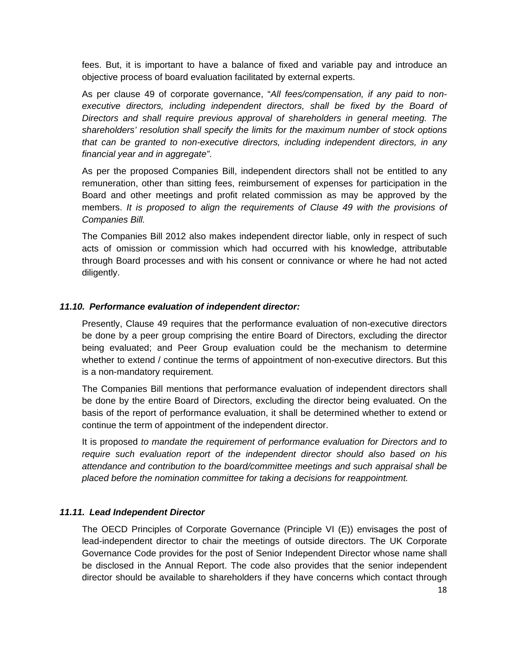fees. But, it is important to have a balance of fixed and variable pay and introduce an objective process of board evaluation facilitated by external experts.

As per clause 49 of corporate governance, "*All fees/compensation, if any paid to non*executive directors, including independent directors, shall be fixed by the Board of *Directors and shall require previous approval of shareholders in general meeting. The shareholders' resolution shall specify the limits for the maximum number of stock options that can be granted to non-executive directors, including independent directors, in any financial year and in aggregate"*.

As per the proposed Companies Bill, independent directors shall not be entitled to any remuneration, other than sitting fees, reimbursement of expenses for participation in the Board and other meetings and profit related commission as may be approved by the members. *It is proposed to align the requirements of Clause 49 with the provisions of Companies Bill.*

The Companies Bill 2012 also makes independent director liable, only in respect of such acts of omission or commission which had occurred with his knowledge, attributable through Board processes and with his consent or connivance or where he had not acted diligently.

#### *11.10. Performance evaluation of independent director:*

Presently, Clause 49 requires that the performance evaluation of non-executive directors be done by a peer group comprising the entire Board of Directors, excluding the director being evaluated; and Peer Group evaluation could be the mechanism to determine whether to extend / continue the terms of appointment of non-executive directors. But this is a non-mandatory requirement.

The Companies Bill mentions that performance evaluation of independent directors shall be done by the entire Board of Directors, excluding the director being evaluated. On the basis of the report of performance evaluation, it shall be determined whether to extend or continue the term of appointment of the independent director.

It is proposed *to mandate the requirement of performance evaluation for Directors and to require such evaluation report of the independent director should also based on his attendance and contribution to the board/committee meetings and such appraisal shall be placed before the nomination committee for taking a decisions for reappointment.*

#### *11.11. Lead Independent Director*

The OECD Principles of Corporate Governance (Principle VI (E)) envisages the post of lead-independent director to chair the meetings of outside directors. The UK Corporate Governance Code provides for the post of Senior Independent Director whose name shall be disclosed in the Annual Report. The code also provides that the senior independent director should be available to shareholders if they have concerns which contact through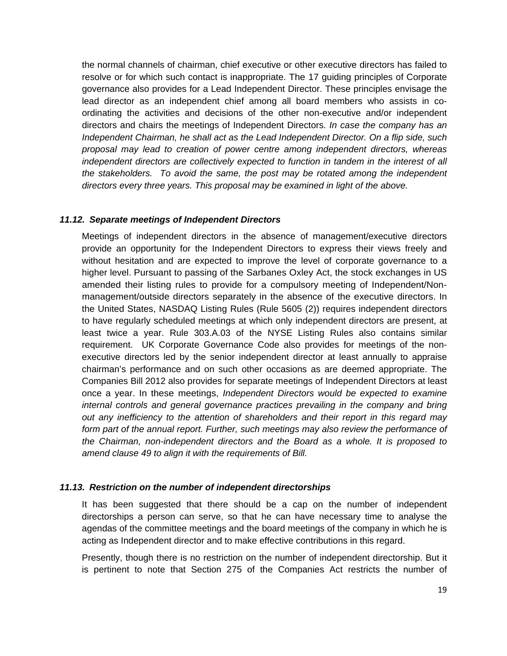the normal channels of chairman, chief executive or other executive directors has failed to resolve or for which such contact is inappropriate. The 17 guiding principles of Corporate governance also provides for a Lead Independent Director. These principles envisage the lead director as an independent chief among all board members who assists in coordinating the activities and decisions of the other non-executive and/or independent directors and chairs the meetings of Independent Directors. *In case the company has an Independent Chairman, he shall act as the Lead Independent Director. On a flip side, such proposal may lead to creation of power centre among independent directors, whereas independent directors are collectively expected to function in tandem in the interest of all the stakeholders. To avoid the same, the post may be rotated among the independent directors every three years. This proposal may be examined in light of the above.* 

#### *11.12. Separate meetings of Independent Directors*

Meetings of independent directors in the absence of management/executive directors provide an opportunity for the Independent Directors to express their views freely and without hesitation and are expected to improve the level of corporate governance to a higher level. Pursuant to passing of the Sarbanes Oxley Act, the stock exchanges in US amended their listing rules to provide for a compulsory meeting of Independent/Nonmanagement/outside directors separately in the absence of the executive directors. In the United States, NASDAQ Listing Rules (Rule 5605 (2)) requires independent directors to have regularly scheduled meetings at which only independent directors are present, at least twice a year. Rule 303.A.03 of the NYSE Listing Rules also contains similar requirement. UK Corporate Governance Code also provides for meetings of the nonexecutive directors led by the senior independent director at least annually to appraise chairman's performance and on such other occasions as are deemed appropriate. The Companies Bill 2012 also provides for separate meetings of Independent Directors at least once a year. In these meetings, *Independent Directors would be expected to examine*  internal controls and general governance practices prevailing in the company and bring *out any inefficiency to the attention of shareholders and their report in this regard may form part of the annual report. Further, such meetings may also review the performance of the Chairman, non-independent directors and the Board as a whole. It is proposed to amend clause 49 to align it with the requirements of Bill.* 

#### *11.13. Restriction on the number of independent directorships*

It has been suggested that there should be a cap on the number of independent directorships a person can serve, so that he can have necessary time to analyse the agendas of the committee meetings and the board meetings of the company in which he is acting as Independent director and to make effective contributions in this regard.

Presently, though there is no restriction on the number of independent directorship. But it is pertinent to note that Section 275 of the Companies Act restricts the number of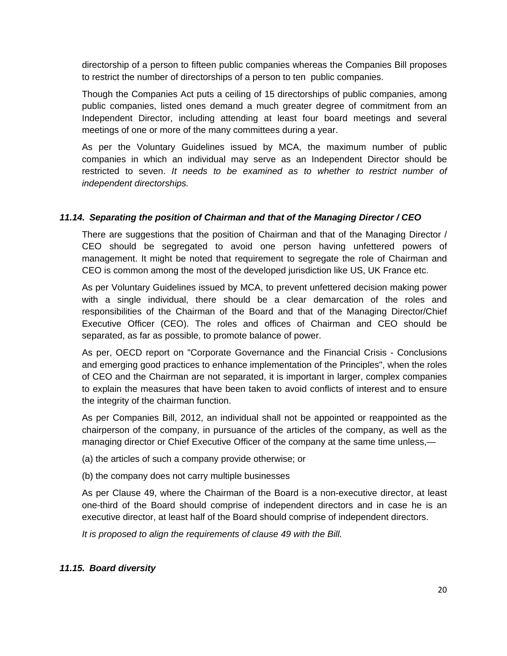directorship of a person to fifteen public companies whereas the Companies Bill proposes to restrict the number of directorships of a person to ten public companies.

Though the Companies Act puts a ceiling of 15 directorships of public companies, among public companies, listed ones demand a much greater degree of commitment from an Independent Director, including attending at least four board meetings and several meetings of one or more of the many committees during a year.

As per the Voluntary Guidelines issued by MCA, the maximum number of public companies in which an individual may serve as an Independent Director should be restricted to seven. *It needs to be examined as to whether to restrict number of independent directorships.* 

## *11.14. Separating the position of Chairman and that of the Managing Director / CEO*

There are suggestions that the position of Chairman and that of the Managing Director / CEO should be segregated to avoid one person having unfettered powers of management. It might be noted that requirement to segregate the role of Chairman and CEO is common among the most of the developed jurisdiction like US, UK France etc.

As per Voluntary Guidelines issued by MCA, to prevent unfettered decision making power with a single individual, there should be a clear demarcation of the roles and responsibilities of the Chairman of the Board and that of the Managing Director/Chief Executive Officer (CEO). The roles and offices of Chairman and CEO should be separated, as far as possible, to promote balance of power.

As per, OECD report on "Corporate Governance and the Financial Crisis - Conclusions and emerging good practices to enhance implementation of the Principles", when the roles of CEO and the Chairman are not separated, it is important in larger, complex companies to explain the measures that have been taken to avoid conflicts of interest and to ensure the integrity of the chairman function.

As per Companies Bill, 2012, an individual shall not be appointed or reappointed as the chairperson of the company, in pursuance of the articles of the company, as well as the managing director or Chief Executive Officer of the company at the same time unless,—

(a) the articles of such a company provide otherwise; or

(b) the company does not carry multiple businesses

As per Clause 49, where the Chairman of the Board is a non-executive director, at least one-third of the Board should comprise of independent directors and in case he is an executive director, at least half of the Board should comprise of independent directors.

*It is proposed to align the requirements of clause 49 with the Bill.* 

#### *11.15. Board diversity*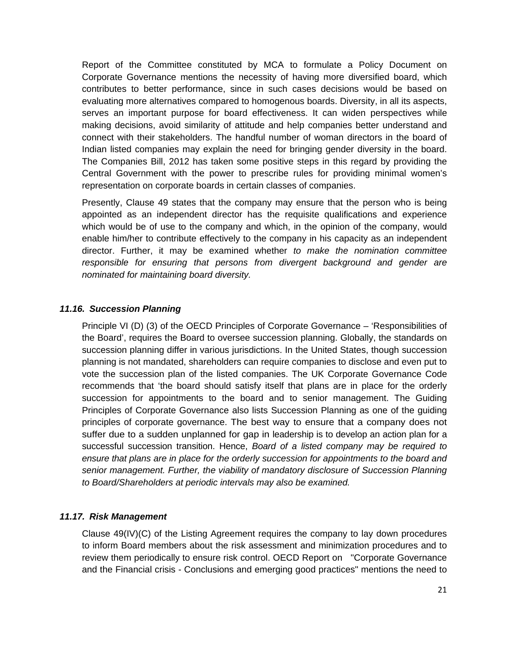Report of the Committee constituted by MCA to formulate a Policy Document on Corporate Governance mentions the necessity of having more diversified board, which contributes to better performance, since in such cases decisions would be based on evaluating more alternatives compared to homogenous boards. Diversity, in all its aspects, serves an important purpose for board effectiveness. It can widen perspectives while making decisions, avoid similarity of attitude and help companies better understand and connect with their stakeholders. The handful number of woman directors in the board of Indian listed companies may explain the need for bringing gender diversity in the board. The Companies Bill, 2012 has taken some positive steps in this regard by providing the Central Government with the power to prescribe rules for providing minimal women's representation on corporate boards in certain classes of companies.

Presently, Clause 49 states that the company may ensure that the person who is being appointed as an independent director has the requisite qualifications and experience which would be of use to the company and which, in the opinion of the company, would enable him/her to contribute effectively to the company in his capacity as an independent director. Further, it may be examined whether *to make the nomination committee*  responsible for ensuring that persons from divergent background and gender are *nominated for maintaining board diversity.*

#### *11.16. Succession Planning*

Principle VI (D) (3) of the OECD Principles of Corporate Governance – 'Responsibilities of the Board', requires the Board to oversee succession planning. Globally, the standards on succession planning differ in various jurisdictions. In the United States, though succession planning is not mandated, shareholders can require companies to disclose and even put to vote the succession plan of the listed companies. The UK Corporate Governance Code recommends that 'the board should satisfy itself that plans are in place for the orderly succession for appointments to the board and to senior management. The Guiding Principles of Corporate Governance also lists Succession Planning as one of the guiding principles of corporate governance. The best way to ensure that a company does not suffer due to a sudden unplanned for gap in leadership is to develop an action plan for a successful succession transition. Hence, *Board of a listed company may be required to ensure that plans are in place for the orderly succession for appointments to the board and senior management. Further, the viability of mandatory disclosure of Succession Planning to Board/Shareholders at periodic intervals may also be examined.* 

#### *11.17. Risk Management*

Clause 49(IV)(C) of the Listing Agreement requires the company to lay down procedures to inform Board members about the risk assessment and minimization procedures and to review them periodically to ensure risk control. OECD Report on "Corporate Governance and the Financial crisis - Conclusions and emerging good practices" mentions the need to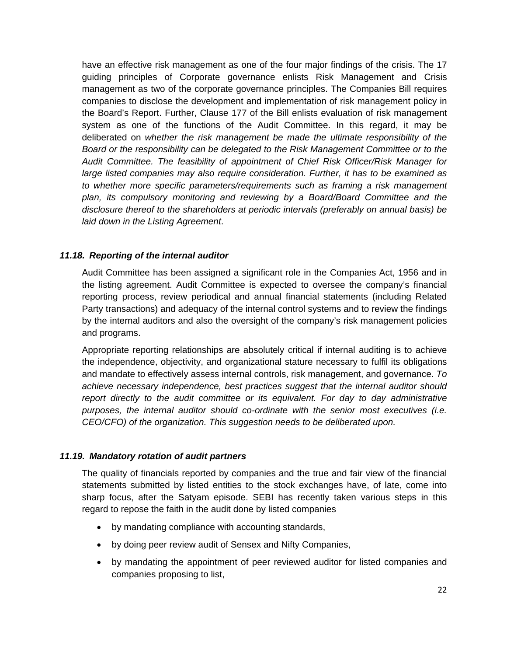have an effective risk management as one of the four major findings of the crisis. The 17 guiding principles of Corporate governance enlists Risk Management and Crisis management as two of the corporate governance principles. The Companies Bill requires companies to disclose the development and implementation of risk management policy in the Board's Report. Further, Clause 177 of the Bill enlists evaluation of risk management system as one of the functions of the Audit Committee. In this regard, it may be deliberated on *whether the risk management be made the ultimate responsibility of the Board or the responsibility can be delegated to the Risk Management Committee or to the Audit Committee. The feasibility of appointment of Chief Risk Officer/Risk Manager for large listed companies may also require consideration. Further, it has to be examined as to whether more specific parameters/requirements such as framing a risk management plan, its compulsory monitoring and reviewing by a Board/Board Committee and the disclosure thereof to the shareholders at periodic intervals (preferably on annual basis) be laid down in the Listing Agreement*.

#### *11.18. Reporting of the internal auditor*

Audit Committee has been assigned a significant role in the Companies Act, 1956 and in the listing agreement. Audit Committee is expected to oversee the company's financial reporting process, review periodical and annual financial statements (including Related Party transactions) and adequacy of the internal control systems and to review the findings by the internal auditors and also the oversight of the company's risk management policies and programs.

Appropriate reporting relationships are absolutely critical if internal auditing is to achieve the independence, objectivity, and organizational stature necessary to fulfil its obligations and mandate to effectively assess internal controls, risk management, and governance. *To achieve necessary independence, best practices suggest that the internal auditor should report directly to the audit committee or its equivalent. For day to day administrative purposes, the internal auditor should co-ordinate with the senior most executives (i.e. CEO/CFO) of the organization. This suggestion needs to be deliberated upon.* 

#### *11.19. Mandatory rotation of audit partners*

The quality of financials reported by companies and the true and fair view of the financial statements submitted by listed entities to the stock exchanges have, of late, come into sharp focus, after the Satyam episode. SEBI has recently taken various steps in this regard to repose the faith in the audit done by listed companies

- by mandating compliance with accounting standards,
- by doing peer review audit of Sensex and Nifty Companies,
- by mandating the appointment of peer reviewed auditor for listed companies and companies proposing to list,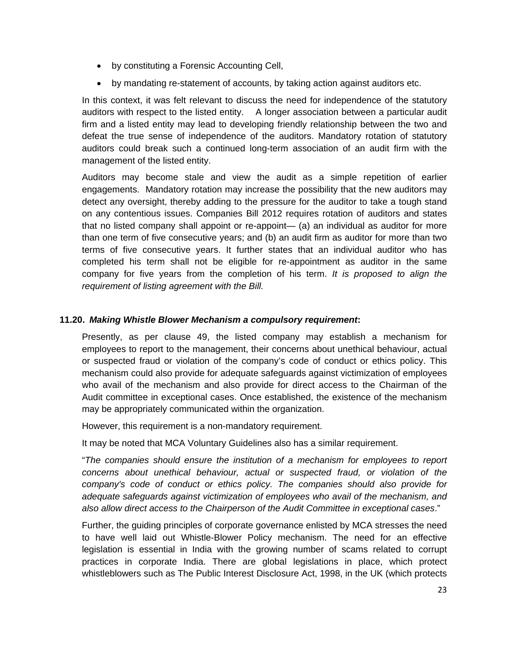- by constituting a Forensic Accounting Cell,
- by mandating re-statement of accounts, by taking action against auditors etc.

In this context, it was felt relevant to discuss the need for independence of the statutory auditors with respect to the listed entity. A longer association between a particular audit firm and a listed entity may lead to developing friendly relationship between the two and defeat the true sense of independence of the auditors. Mandatory rotation of statutory auditors could break such a continued long-term association of an audit firm with the management of the listed entity.

Auditors may become stale and view the audit as a simple repetition of earlier engagements. Mandatory rotation may increase the possibility that the new auditors may detect any oversight, thereby adding to the pressure for the auditor to take a tough stand on any contentious issues. Companies Bill 2012 requires rotation of auditors and states that no listed company shall appoint or re-appoint— (a) an individual as auditor for more than one term of five consecutive years; and (b) an audit firm as auditor for more than two terms of five consecutive years. It further states that an individual auditor who has completed his term shall not be eligible for re-appointment as auditor in the same company for five years from the completion of his term. *It is proposed to align the requirement of listing agreement with the Bill.* 

#### **11.20.** *Making Whistle Blower Mechanism a compulsory requirement***:**

Presently, as per clause 49, the listed company may establish a mechanism for employees to report to the management, their concerns about unethical behaviour, actual or suspected fraud or violation of the company's code of conduct or ethics policy. This mechanism could also provide for adequate safeguards against victimization of employees who avail of the mechanism and also provide for direct access to the Chairman of the Audit committee in exceptional cases. Once established, the existence of the mechanism may be appropriately communicated within the organization.

However, this requirement is a non-mandatory requirement.

It may be noted that MCA Voluntary Guidelines also has a similar requirement.

"*The companies should ensure the institution of a mechanism for employees to report concerns about unethical behaviour, actual or suspected fraud, or violation of the company's code of conduct or ethics policy. The companies should also provide for adequate safeguards against victimization of employees who avail of the mechanism, and also allow direct access to the Chairperson of the Audit Committee in exceptional cases*."

Further, the guiding principles of corporate governance enlisted by MCA stresses the need to have well laid out Whistle-Blower Policy mechanism. The need for an effective legislation is essential in India with the growing number of scams related to corrupt practices in corporate India. There are global legislations in place, which protect whistleblowers such as The Public Interest Disclosure Act, 1998, in the UK (which protects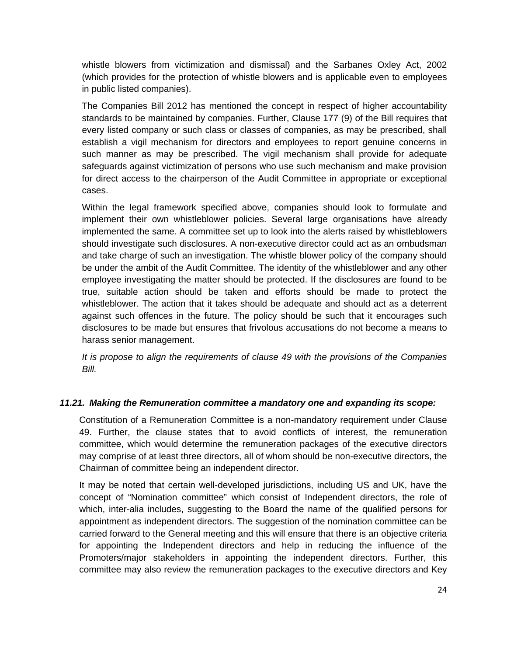whistle blowers from victimization and dismissal) and the Sarbanes Oxley Act, 2002 (which provides for the protection of whistle blowers and is applicable even to employees in public listed companies).

The Companies Bill 2012 has mentioned the concept in respect of higher accountability standards to be maintained by companies. Further, Clause 177 (9) of the Bill requires that every listed company or such class or classes of companies, as may be prescribed, shall establish a vigil mechanism for directors and employees to report genuine concerns in such manner as may be prescribed. The vigil mechanism shall provide for adequate safeguards against victimization of persons who use such mechanism and make provision for direct access to the chairperson of the Audit Committee in appropriate or exceptional cases.

Within the legal framework specified above, companies should look to formulate and implement their own whistleblower policies. Several large organisations have already implemented the same. A committee set up to look into the alerts raised by whistleblowers should investigate such disclosures. A non-executive director could act as an ombudsman and take charge of such an investigation. The whistle blower policy of the company should be under the ambit of the Audit Committee. The identity of the whistleblower and any other employee investigating the matter should be protected. If the disclosures are found to be true, suitable action should be taken and efforts should be made to protect the whistleblower. The action that it takes should be adequate and should act as a deterrent against such offences in the future. The policy should be such that it encourages such disclosures to be made but ensures that frivolous accusations do not become a means to harass senior management.

*It is propose to align the requirements of clause 49 with the provisions of the Companies Bill.* 

#### *11.21. Making the Remuneration committee a mandatory one and expanding its scope:*

Constitution of a Remuneration Committee is a non-mandatory requirement under Clause 49. Further, the clause states that to avoid conflicts of interest, the remuneration committee, which would determine the remuneration packages of the executive directors may comprise of at least three directors, all of whom should be non-executive directors, the Chairman of committee being an independent director.

It may be noted that certain well-developed jurisdictions, including US and UK, have the concept of "Nomination committee" which consist of Independent directors, the role of which, inter-alia includes, suggesting to the Board the name of the qualified persons for appointment as independent directors. The suggestion of the nomination committee can be carried forward to the General meeting and this will ensure that there is an objective criteria for appointing the Independent directors and help in reducing the influence of the Promoters/major stakeholders in appointing the independent directors. Further, this committee may also review the remuneration packages to the executive directors and Key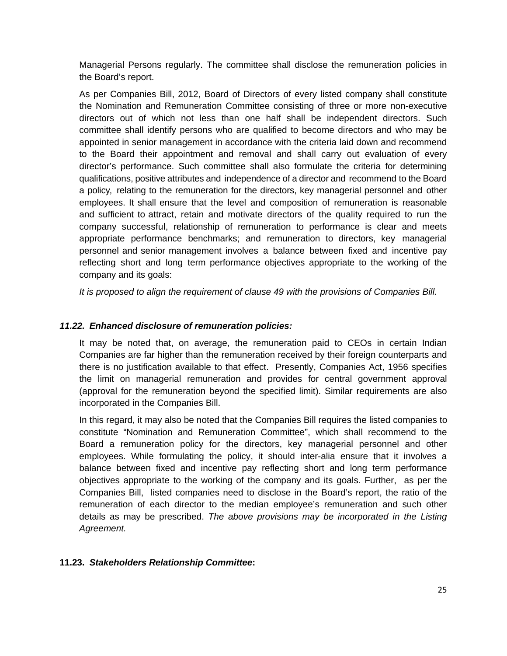Managerial Persons regularly. The committee shall disclose the remuneration policies in the Board's report.

As per Companies Bill, 2012, Board of Directors of every listed company shall constitute the Nomination and Remuneration Committee consisting of three or more non-executive directors out of which not less than one half shall be independent directors. Such committee shall identify persons who are qualified to become directors and who may be appointed in senior management in accordance with the criteria laid down and recommend to the Board their appointment and removal and shall carry out evaluation of every director's performance. Such committee shall also formulate the criteria for determining qualifications, positive attributes and independence of a director and recommend to the Board a policy, relating to the remuneration for the directors, key managerial personnel and other employees. It shall ensure that the level and composition of remuneration is reasonable and sufficient to attract, retain and motivate directors of the quality required to run the company successful, relationship of remuneration to performance is clear and meets appropriate performance benchmarks; and remuneration to directors, key managerial personnel and senior management involves a balance between fixed and incentive pay reflecting short and long term performance objectives appropriate to the working of the company and its goals:

*It is proposed to align the requirement of clause 49 with the provisions of Companies Bill.* 

## *11.22. Enhanced disclosure of remuneration policies:*

It may be noted that, on average, the remuneration paid to CEOs in certain Indian Companies are far higher than the remuneration received by their foreign counterparts and there is no justification available to that effect. Presently, Companies Act, 1956 specifies the limit on managerial remuneration and provides for central government approval (approval for the remuneration beyond the specified limit). Similar requirements are also incorporated in the Companies Bill.

In this regard, it may also be noted that the Companies Bill requires the listed companies to constitute "Nomination and Remuneration Committee", which shall recommend to the Board a remuneration policy for the directors, key managerial personnel and other employees. While formulating the policy, it should inter-alia ensure that it involves a balance between fixed and incentive pay reflecting short and long term performance objectives appropriate to the working of the company and its goals. Further, as per the Companies Bill, listed companies need to disclose in the Board's report, the ratio of the remuneration of each director to the median employee's remuneration and such other details as may be prescribed. *The above provisions may be incorporated in the Listing Agreement.* 

#### **11.23.** *Stakeholders Relationship Committee***:**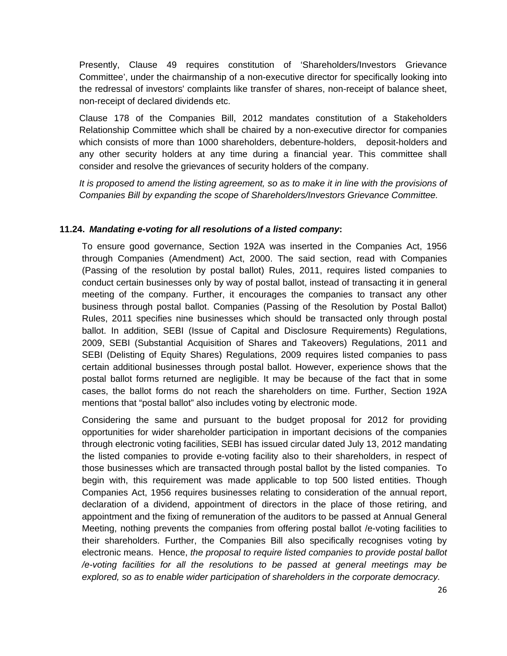Presently, Clause 49 requires constitution of 'Shareholders/Investors Grievance Committee', under the chairmanship of a non-executive director for specifically looking into the redressal of investors' complaints like transfer of shares, non-receipt of balance sheet, non-receipt of declared dividends etc.

Clause 178 of the Companies Bill, 2012 mandates constitution of a Stakeholders Relationship Committee which shall be chaired by a non-executive director for companies which consists of more than 1000 shareholders, debenture-holders, deposit-holders and any other security holders at any time during a financial year. This committee shall consider and resolve the grievances of security holders of the company.

*It is proposed to amend the listing agreement, so as to make it in line with the provisions of Companies Bill by expanding the scope of Shareholders/Investors Grievance Committee.* 

#### **11.24.** *Mandating e-voting for all resolutions of a listed company***:**

To ensure good governance, Section 192A was inserted in the Companies Act, 1956 through Companies (Amendment) Act, 2000. The said section, read with Companies (Passing of the resolution by postal ballot) Rules, 2011, requires listed companies to conduct certain businesses only by way of postal ballot, instead of transacting it in general meeting of the company. Further, it encourages the companies to transact any other business through postal ballot. Companies (Passing of the Resolution by Postal Ballot) Rules, 2011 specifies nine businesses which should be transacted only through postal ballot. In addition, SEBI (Issue of Capital and Disclosure Requirements) Regulations, 2009, SEBI (Substantial Acquisition of Shares and Takeovers) Regulations, 2011 and SEBI (Delisting of Equity Shares) Regulations, 2009 requires listed companies to pass certain additional businesses through postal ballot. However, experience shows that the postal ballot forms returned are negligible. It may be because of the fact that in some cases, the ballot forms do not reach the shareholders on time. Further, Section 192A mentions that "postal ballot" also includes voting by electronic mode.

Considering the same and pursuant to the budget proposal for 2012 for providing opportunities for wider shareholder participation in important decisions of the companies through electronic voting facilities, SEBI has issued circular dated July 13, 2012 mandating the listed companies to provide e-voting facility also to their shareholders, in respect of those businesses which are transacted through postal ballot by the listed companies. To begin with, this requirement was made applicable to top 500 listed entities. Though Companies Act, 1956 requires businesses relating to consideration of the annual report, declaration of a dividend, appointment of directors in the place of those retiring, and appointment and the fixing of remuneration of the auditors to be passed at Annual General Meeting, nothing prevents the companies from offering postal ballot /e-voting facilities to their shareholders. Further, the Companies Bill also specifically recognises voting by electronic means. Hence, *the proposal to require listed companies to provide postal ballot /e-voting facilities for all the resolutions to be passed at general meetings may be explored, so as to enable wider participation of shareholders in the corporate democracy.*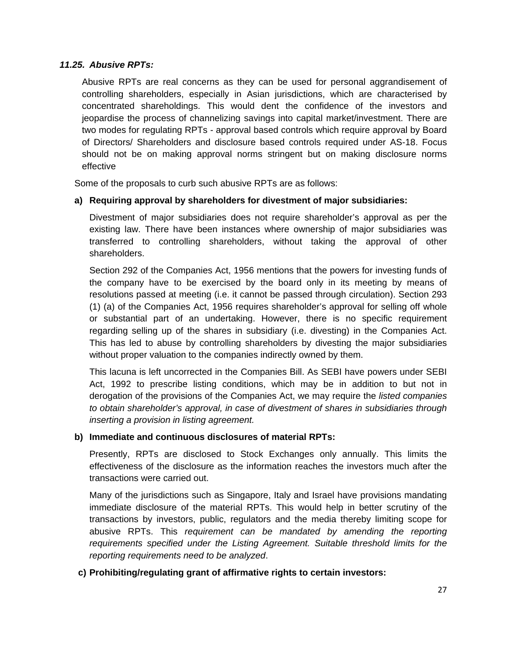#### *11.25. Abusive RPTs:*

Abusive RPTs are real concerns as they can be used for personal aggrandisement of controlling shareholders, especially in Asian jurisdictions, which are characterised by concentrated shareholdings. This would dent the confidence of the investors and jeopardise the process of channelizing savings into capital market/investment. There are two modes for regulating RPTs - approval based controls which require approval by Board of Directors/ Shareholders and disclosure based controls required under AS-18. Focus should not be on making approval norms stringent but on making disclosure norms effective

Some of the proposals to curb such abusive RPTs are as follows:

#### **a) Requiring approval by shareholders for divestment of major subsidiaries:**

Divestment of major subsidiaries does not require shareholder's approval as per the existing law. There have been instances where ownership of major subsidiaries was transferred to controlling shareholders, without taking the approval of other shareholders.

Section 292 of the Companies Act, 1956 mentions that the powers for investing funds of the company have to be exercised by the board only in its meeting by means of resolutions passed at meeting (i.e. it cannot be passed through circulation). Section 293 (1) (a) of the Companies Act, 1956 requires shareholder's approval for selling off whole or substantial part of an undertaking. However, there is no specific requirement regarding selling up of the shares in subsidiary (i.e. divesting) in the Companies Act. This has led to abuse by controlling shareholders by divesting the major subsidiaries without proper valuation to the companies indirectly owned by them.

This lacuna is left uncorrected in the Companies Bill. As SEBI have powers under SEBI Act, 1992 to prescribe listing conditions, which may be in addition to but not in derogation of the provisions of the Companies Act, we may require the *listed companies to obtain shareholder's approval, in case of divestment of shares in subsidiaries through inserting a provision in listing agreement.*

#### **b) Immediate and continuous disclosures of material RPTs:**

Presently, RPTs are disclosed to Stock Exchanges only annually. This limits the effectiveness of the disclosure as the information reaches the investors much after the transactions were carried out.

Many of the jurisdictions such as Singapore, Italy and Israel have provisions mandating immediate disclosure of the material RPTs. This would help in better scrutiny of the transactions by investors, public, regulators and the media thereby limiting scope for abusive RPTs. This *requirement can be mandated by amending the reporting requirements specified under the Listing Agreement. Suitable threshold limits for the reporting requirements need to be analyzed*.

#### **c) Prohibiting/regulating grant of affirmative rights to certain investors:**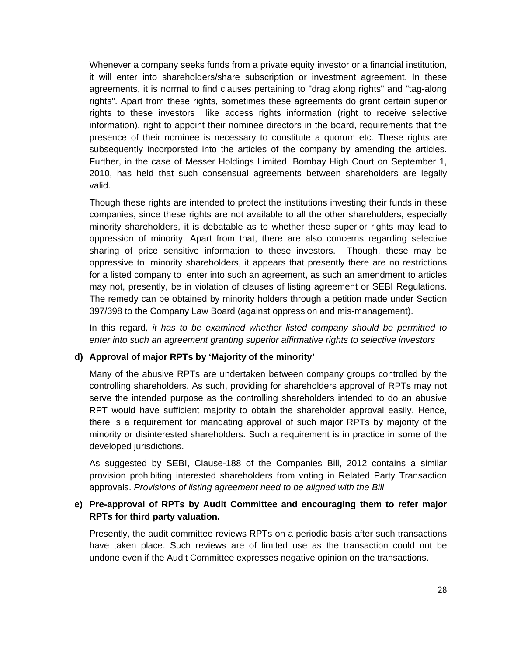Whenever a company seeks funds from a private equity investor or a financial institution, it will enter into shareholders/share subscription or investment agreement. In these agreements, it is normal to find clauses pertaining to "drag along rights" and "tag-along rights". Apart from these rights, sometimes these agreements do grant certain superior rights to these investors like access rights information (right to receive selective information), right to appoint their nominee directors in the board, requirements that the presence of their nominee is necessary to constitute a quorum etc. These rights are subsequently incorporated into the articles of the company by amending the articles. Further, in the case of Messer Holdings Limited, Bombay High Court on September 1, 2010, has held that such consensual agreements between shareholders are legally valid.

Though these rights are intended to protect the institutions investing their funds in these companies, since these rights are not available to all the other shareholders, especially minority shareholders, it is debatable as to whether these superior rights may lead to oppression of minority. Apart from that, there are also concerns regarding selective sharing of price sensitive information to these investors. Though, these may be oppressive to minority shareholders, it appears that presently there are no restrictions for a listed company to enter into such an agreement, as such an amendment to articles may not, presently, be in violation of clauses of listing agreement or SEBI Regulations. The remedy can be obtained by minority holders through a petition made under Section 397/398 to the Company Law Board (against oppression and mis-management).

In this regard*, it has to be examined whether listed company should be permitted to enter into such an agreement granting superior affirmative rights to selective investors*

#### **d) Approval of major RPTs by 'Majority of the minority'**

Many of the abusive RPTs are undertaken between company groups controlled by the controlling shareholders. As such, providing for shareholders approval of RPTs may not serve the intended purpose as the controlling shareholders intended to do an abusive RPT would have sufficient majority to obtain the shareholder approval easily. Hence, there is a requirement for mandating approval of such major RPTs by majority of the minority or disinterested shareholders. Such a requirement is in practice in some of the developed jurisdictions.

As suggested by SEBI, Clause-188 of the Companies Bill, 2012 contains a similar provision prohibiting interested shareholders from voting in Related Party Transaction approvals. *Provisions of listing agreement need to be aligned with the Bill*

## **e) Pre-approval of RPTs by Audit Committee and encouraging them to refer major RPTs for third party valuation.**

Presently, the audit committee reviews RPTs on a periodic basis after such transactions have taken place. Such reviews are of limited use as the transaction could not be undone even if the Audit Committee expresses negative opinion on the transactions.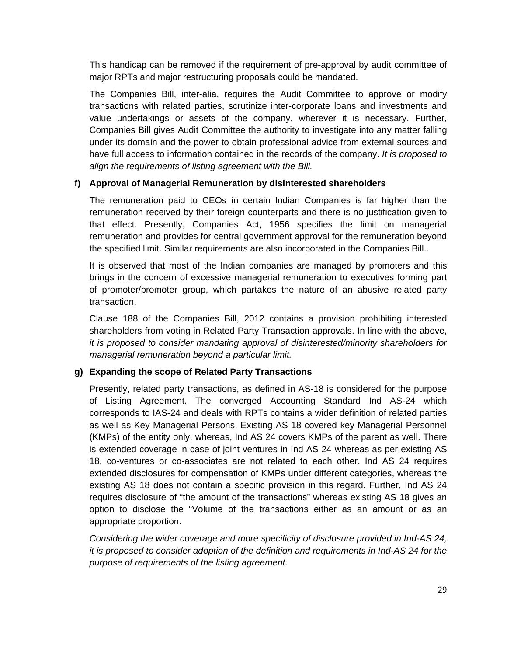This handicap can be removed if the requirement of pre-approval by audit committee of major RPTs and major restructuring proposals could be mandated.

The Companies Bill, inter-alia, requires the Audit Committee to approve or modify transactions with related parties, scrutinize inter-corporate loans and investments and value undertakings or assets of the company, wherever it is necessary. Further, Companies Bill gives Audit Committee the authority to investigate into any matter falling under its domain and the power to obtain professional advice from external sources and have full access to information contained in the records of the company. *It is proposed to align the requirements of listing agreement with the Bill.*

#### **f) Approval of Managerial Remuneration by disinterested shareholders**

The remuneration paid to CEOs in certain Indian Companies is far higher than the remuneration received by their foreign counterparts and there is no justification given to that effect. Presently, Companies Act, 1956 specifies the limit on managerial remuneration and provides for central government approval for the remuneration beyond the specified limit. Similar requirements are also incorporated in the Companies Bill..

It is observed that most of the Indian companies are managed by promoters and this brings in the concern of excessive managerial remuneration to executives forming part of promoter/promoter group, which partakes the nature of an abusive related party transaction.

Clause 188 of the Companies Bill, 2012 contains a provision prohibiting interested shareholders from voting in Related Party Transaction approvals. In line with the above, *it is proposed to consider mandating approval of disinterested/minority shareholders for managerial remuneration beyond a particular limit.*

# **g) Expanding the scope of Related Party Transactions**

Presently, related party transactions, as defined in AS-18 is considered for the purpose of Listing Agreement. The converged Accounting Standard Ind AS-24 which corresponds to IAS-24 and deals with RPTs contains a wider definition of related parties as well as Key Managerial Persons. Existing AS 18 covered key Managerial Personnel (KMPs) of the entity only, whereas, Ind AS 24 covers KMPs of the parent as well. There is extended coverage in case of joint ventures in Ind AS 24 whereas as per existing AS 18, co-ventures or co-associates are not related to each other. Ind AS 24 requires extended disclosures for compensation of KMPs under different categories, whereas the existing AS 18 does not contain a specific provision in this regard. Further, Ind AS 24 requires disclosure of "the amount of the transactions" whereas existing AS 18 gives an option to disclose the "Volume of the transactions either as an amount or as an appropriate proportion.

*Considering the wider coverage and more specificity of disclosure provided in Ind-AS 24, it is proposed to consider adoption of the definition and requirements in Ind-AS 24 for the purpose of requirements of the listing agreement.*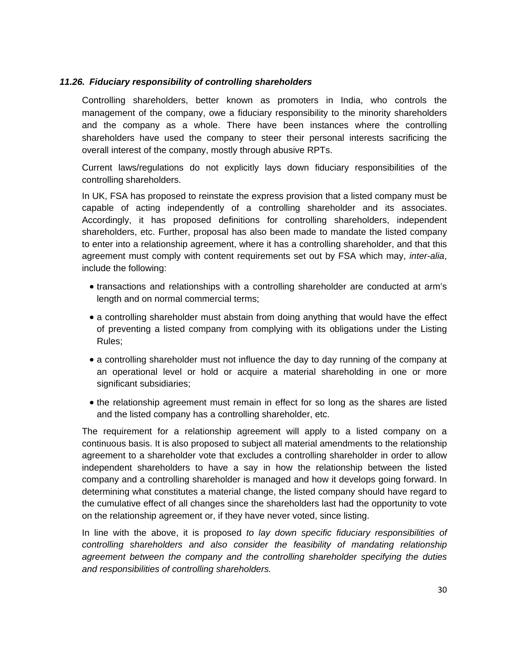#### *11.26. Fiduciary responsibility of controlling shareholders*

Controlling shareholders, better known as promoters in India, who controls the management of the company, owe a fiduciary responsibility to the minority shareholders and the company as a whole. There have been instances where the controlling shareholders have used the company to steer their personal interests sacrificing the overall interest of the company, mostly through abusive RPTs.

Current laws/regulations do not explicitly lays down fiduciary responsibilities of the controlling shareholders.

In UK, FSA has proposed to reinstate the express provision that a listed company must be capable of acting independently of a controlling shareholder and its associates. Accordingly, it has proposed definitions for controlling shareholders, independent shareholders, etc. Further, proposal has also been made to mandate the listed company to enter into a relationship agreement, where it has a controlling shareholder, and that this agreement must comply with content requirements set out by FSA which may, *inter-alia*, include the following:

- transactions and relationships with a controlling shareholder are conducted at arm's length and on normal commercial terms;
- a controlling shareholder must abstain from doing anything that would have the effect of preventing a listed company from complying with its obligations under the Listing Rules;
- a controlling shareholder must not influence the day to day running of the company at an operational level or hold or acquire a material shareholding in one or more significant subsidiaries;
- the relationship agreement must remain in effect for so long as the shares are listed and the listed company has a controlling shareholder, etc.

The requirement for a relationship agreement will apply to a listed company on a continuous basis. It is also proposed to subject all material amendments to the relationship agreement to a shareholder vote that excludes a controlling shareholder in order to allow independent shareholders to have a say in how the relationship between the listed company and a controlling shareholder is managed and how it develops going forward. In determining what constitutes a material change, the listed company should have regard to the cumulative effect of all changes since the shareholders last had the opportunity to vote on the relationship agreement or, if they have never voted, since listing.

In line with the above, it is proposed *to lay down specific fiduciary responsibilities of controlling shareholders and also consider the feasibility of mandating relationship agreement between the company and the controlling shareholder specifying the duties and responsibilities of controlling shareholders.*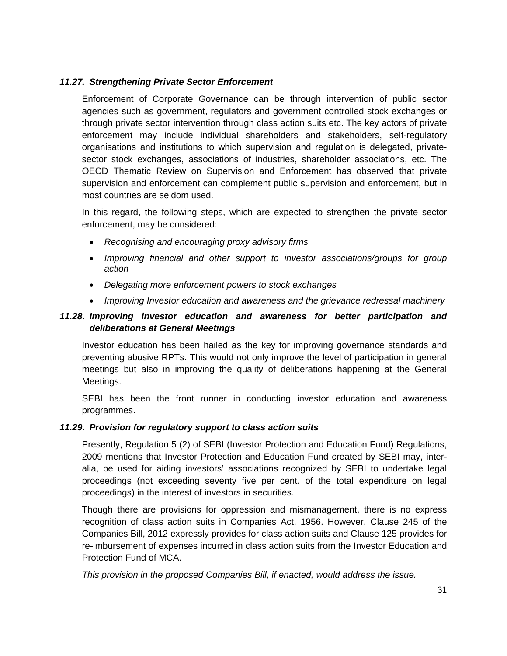### *11.27. Strengthening Private Sector Enforcement*

Enforcement of Corporate Governance can be through intervention of public sector agencies such as government, regulators and government controlled stock exchanges or through private sector intervention through class action suits etc. The key actors of private enforcement may include individual shareholders and stakeholders, self-regulatory organisations and institutions to which supervision and regulation is delegated, privatesector stock exchanges, associations of industries, shareholder associations, etc. The OECD Thematic Review on Supervision and Enforcement has observed that private supervision and enforcement can complement public supervision and enforcement, but in most countries are seldom used.

In this regard, the following steps, which are expected to strengthen the private sector enforcement, may be considered:

- *Recognising and encouraging proxy advisory firms*
- *Improving financial and other support to investor associations/groups for group action*
- *Delegating more enforcement powers to stock exchanges*
- *Improving Investor education and awareness and the grievance redressal machinery*

# *11.28. Improving investor education and awareness for better participation and deliberations at General Meetings*

Investor education has been hailed as the key for improving governance standards and preventing abusive RPTs. This would not only improve the level of participation in general meetings but also in improving the quality of deliberations happening at the General Meetings.

SEBI has been the front runner in conducting investor education and awareness programmes.

#### *11.29. Provision for regulatory support to class action suits*

Presently, Regulation 5 (2) of SEBI (Investor Protection and Education Fund) Regulations, 2009 mentions that Investor Protection and Education Fund created by SEBI may, interalia, be used for aiding investors' associations recognized by SEBI to undertake legal proceedings (not exceeding seventy five per cent. of the total expenditure on legal proceedings) in the interest of investors in securities.

Though there are provisions for oppression and mismanagement, there is no express recognition of class action suits in Companies Act, 1956. However, Clause 245 of the Companies Bill, 2012 expressly provides for class action suits and Clause 125 provides for re-imbursement of expenses incurred in class action suits from the Investor Education and Protection Fund of MCA.

*This provision in the proposed Companies Bill, if enacted, would address the issue.*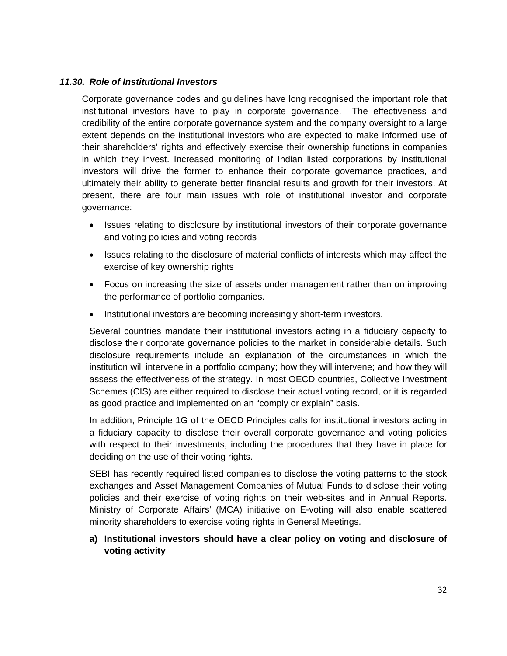#### *11.30. Role of Institutional Investors*

Corporate governance codes and guidelines have long recognised the important role that institutional investors have to play in corporate governance. The effectiveness and credibility of the entire corporate governance system and the company oversight to a large extent depends on the institutional investors who are expected to make informed use of their shareholders' rights and effectively exercise their ownership functions in companies in which they invest. Increased monitoring of Indian listed corporations by institutional investors will drive the former to enhance their corporate governance practices, and ultimately their ability to generate better financial results and growth for their investors. At present, there are four main issues with role of institutional investor and corporate governance:

- Issues relating to disclosure by institutional investors of their corporate governance and voting policies and voting records
- Issues relating to the disclosure of material conflicts of interests which may affect the exercise of key ownership rights
- Focus on increasing the size of assets under management rather than on improving the performance of portfolio companies.
- Institutional investors are becoming increasingly short-term investors.

Several countries mandate their institutional investors acting in a fiduciary capacity to disclose their corporate governance policies to the market in considerable details. Such disclosure requirements include an explanation of the circumstances in which the institution will intervene in a portfolio company; how they will intervene; and how they will assess the effectiveness of the strategy. In most OECD countries, Collective Investment Schemes (CIS) are either required to disclose their actual voting record, or it is regarded as good practice and implemented on an "comply or explain" basis.

In addition, Principle 1G of the OECD Principles calls for institutional investors acting in a fiduciary capacity to disclose their overall corporate governance and voting policies with respect to their investments, including the procedures that they have in place for deciding on the use of their voting rights.

SEBI has recently required listed companies to disclose the voting patterns to the stock exchanges and Asset Management Companies of Mutual Funds to disclose their voting policies and their exercise of voting rights on their web-sites and in Annual Reports. Ministry of Corporate Affairs' (MCA) initiative on E-voting will also enable scattered minority shareholders to exercise voting rights in General Meetings.

# **a) Institutional investors should have a clear policy on voting and disclosure of voting activity**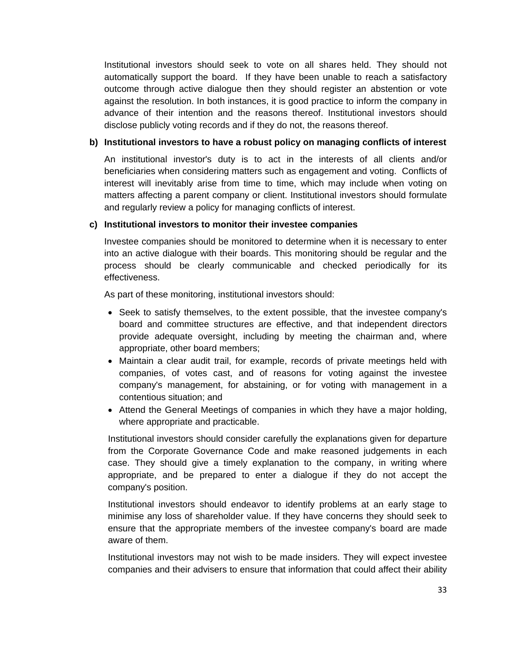Institutional investors should seek to vote on all shares held. They should not automatically support the board. If they have been unable to reach a satisfactory outcome through active dialogue then they should register an abstention or vote against the resolution. In both instances, it is good practice to inform the company in advance of their intention and the reasons thereof. Institutional investors should disclose publicly voting records and if they do not, the reasons thereof.

#### **b) Institutional investors to have a robust policy on managing conflicts of interest**

An institutional investor's duty is to act in the interests of all clients and/or beneficiaries when considering matters such as engagement and voting. Conflicts of interest will inevitably arise from time to time, which may include when voting on matters affecting a parent company or client. Institutional investors should formulate and regularly review a policy for managing conflicts of interest.

#### **c) Institutional investors to monitor their investee companies**

Investee companies should be monitored to determine when it is necessary to enter into an active dialogue with their boards. This monitoring should be regular and the process should be clearly communicable and checked periodically for its effectiveness.

As part of these monitoring, institutional investors should:

- Seek to satisfy themselves, to the extent possible, that the investee company's board and committee structures are effective, and that independent directors provide adequate oversight, including by meeting the chairman and, where appropriate, other board members;
- Maintain a clear audit trail, for example, records of private meetings held with companies, of votes cast, and of reasons for voting against the investee company's management, for abstaining, or for voting with management in a contentious situation; and
- Attend the General Meetings of companies in which they have a major holding, where appropriate and practicable.

Institutional investors should consider carefully the explanations given for departure from the Corporate Governance Code and make reasoned judgements in each case. They should give a timely explanation to the company, in writing where appropriate, and be prepared to enter a dialogue if they do not accept the company's position.

Institutional investors should endeavor to identify problems at an early stage to minimise any loss of shareholder value. If they have concerns they should seek to ensure that the appropriate members of the investee company's board are made aware of them.

Institutional investors may not wish to be made insiders. They will expect investee companies and their advisers to ensure that information that could affect their ability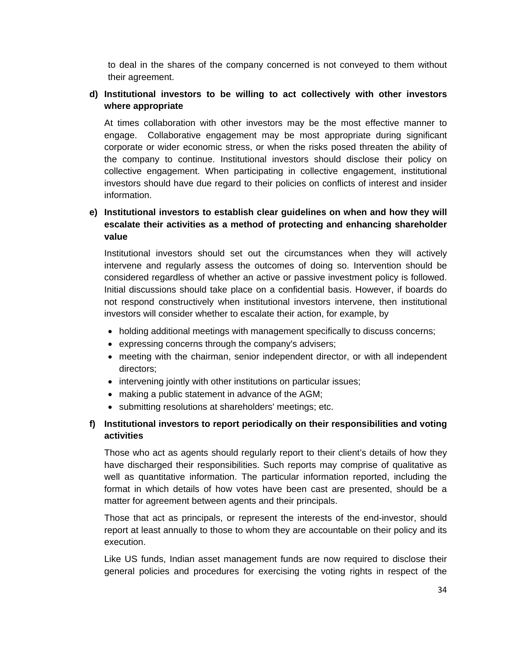to deal in the shares of the company concerned is not conveyed to them without their agreement.

# **d) Institutional investors to be willing to act collectively with other investors where appropriate**

At times collaboration with other investors may be the most effective manner to engage. Collaborative engagement may be most appropriate during significant corporate or wider economic stress, or when the risks posed threaten the ability of the company to continue. Institutional investors should disclose their policy on collective engagement. When participating in collective engagement, institutional investors should have due regard to their policies on conflicts of interest and insider information.

# **e) Institutional investors to establish clear guidelines on when and how they will escalate their activities as a method of protecting and enhancing shareholder value**

Institutional investors should set out the circumstances when they will actively intervene and regularly assess the outcomes of doing so. Intervention should be considered regardless of whether an active or passive investment policy is followed. Initial discussions should take place on a confidential basis. However, if boards do not respond constructively when institutional investors intervene, then institutional investors will consider whether to escalate their action, for example, by

- holding additional meetings with management specifically to discuss concerns;
- expressing concerns through the company's advisers;
- meeting with the chairman, senior independent director, or with all independent directors;
- intervening jointly with other institutions on particular issues;
- making a public statement in advance of the AGM;
- submitting resolutions at shareholders' meetings; etc.

# **f) Institutional investors to report periodically on their responsibilities and voting activities**

Those who act as agents should regularly report to their client's details of how they have discharged their responsibilities. Such reports may comprise of qualitative as well as quantitative information. The particular information reported, including the format in which details of how votes have been cast are presented, should be a matter for agreement between agents and their principals.

Those that act as principals, or represent the interests of the end-investor, should report at least annually to those to whom they are accountable on their policy and its execution.

Like US funds, Indian asset management funds are now required to disclose their general policies and procedures for exercising the voting rights in respect of the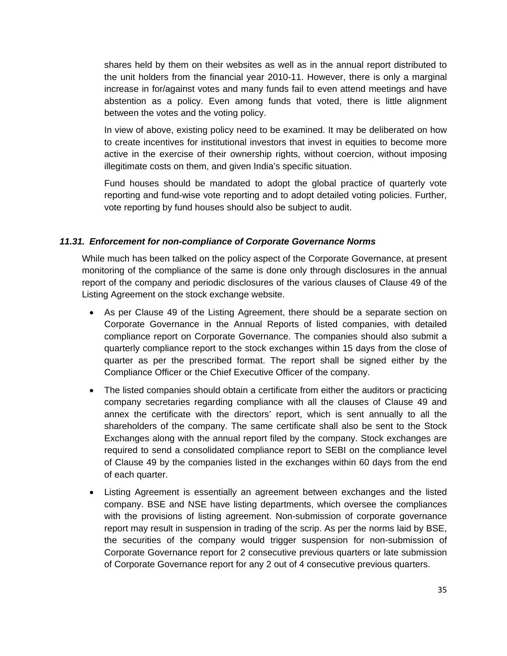shares held by them on their websites as well as in the annual report distributed to the unit holders from the financial year 2010-11. However, there is only a marginal increase in for/against votes and many funds fail to even attend meetings and have abstention as a policy. Even among funds that voted, there is little alignment between the votes and the voting policy.

In view of above, existing policy need to be examined. It may be deliberated on how to create incentives for institutional investors that invest in equities to become more active in the exercise of their ownership rights, without coercion, without imposing illegitimate costs on them, and given India's specific situation.

Fund houses should be mandated to adopt the global practice of quarterly vote reporting and fund-wise vote reporting and to adopt detailed voting policies. Further, vote reporting by fund houses should also be subject to audit.

#### *11.31. Enforcement for non-compliance of Corporate Governance Norms*

While much has been talked on the policy aspect of the Corporate Governance, at present monitoring of the compliance of the same is done only through disclosures in the annual report of the company and periodic disclosures of the various clauses of Clause 49 of the Listing Agreement on the stock exchange website.

- As per Clause 49 of the Listing Agreement, there should be a separate section on Corporate Governance in the Annual Reports of listed companies, with detailed compliance report on Corporate Governance. The companies should also submit a quarterly compliance report to the stock exchanges within 15 days from the close of quarter as per the prescribed format. The report shall be signed either by the Compliance Officer or the Chief Executive Officer of the company.
- The listed companies should obtain a certificate from either the auditors or practicing company secretaries regarding compliance with all the clauses of Clause 49 and annex the certificate with the directors' report, which is sent annually to all the shareholders of the company. The same certificate shall also be sent to the Stock Exchanges along with the annual report filed by the company. Stock exchanges are required to send a consolidated compliance report to SEBI on the compliance level of Clause 49 by the companies listed in the exchanges within 60 days from the end of each quarter.
- Listing Agreement is essentially an agreement between exchanges and the listed company. BSE and NSE have listing departments, which oversee the compliances with the provisions of listing agreement. Non-submission of corporate governance report may result in suspension in trading of the scrip. As per the norms laid by BSE, the securities of the company would trigger suspension for non-submission of Corporate Governance report for 2 consecutive previous quarters or late submission of Corporate Governance report for any 2 out of 4 consecutive previous quarters.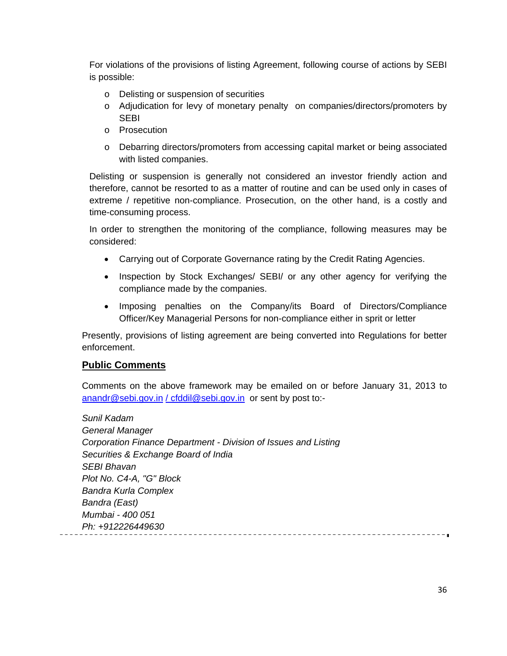For violations of the provisions of listing Agreement, following course of actions by SEBI is possible:

- o Delisting or suspension of securities
- o Adjudication for levy of monetary penalty on companies/directors/promoters by **SEBI**
- o Prosecution
- o Debarring directors/promoters from accessing capital market or being associated with listed companies.

Delisting or suspension is generally not considered an investor friendly action and therefore, cannot be resorted to as a matter of routine and can be used only in cases of extreme / repetitive non-compliance. Prosecution, on the other hand, is a costly and time-consuming process.

In order to strengthen the monitoring of the compliance, following measures may be considered:

- Carrying out of Corporate Governance rating by the Credit Rating Agencies.
- Inspection by Stock Exchanges/ SEBI/ or any other agency for verifying the compliance made by the companies.
- Imposing penalties on the Company/its Board of Directors/Compliance Officer/Key Managerial Persons for non-compliance either in sprit or letter

Presently, provisions of listing agreement are being converted into Regulations for better enforcement.

# **Public Comments**

Comments on the above framework may be emailed on or before January 31, 2013 to anandr@sebi.gov.in / cfddil@sebi.gov.in or sent by post to:-

*Sunil Kadam General Manager Corporation Finance Department - Division of Issues and Listing Securities & Exchange Board of India SEBI Bhavan Plot No. C4-A, "G" Block Bandra Kurla Complex Bandra (East) Mumbai - 400 051 Ph: +912226449630*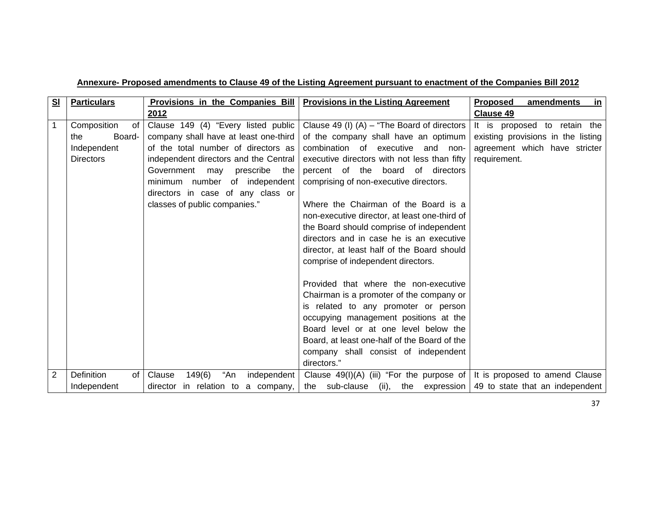| Annexure- Proposed amendments to Clause 49 of the Listing Agreement pursuant to enactment of the Companies Bill 2012 |  |  |
|----------------------------------------------------------------------------------------------------------------------|--|--|
|                                                                                                                      |  |  |

| S <sub>1</sub> | <b>Particulars</b> | Provisions in the Companies Bill       | <b>Provisions in the Listing Agreement</b>                                  | <b>Proposed</b><br>amendments<br>in |
|----------------|--------------------|----------------------------------------|-----------------------------------------------------------------------------|-------------------------------------|
|                |                    | 2012                                   |                                                                             | <b>Clause 49</b>                    |
| $\mathbf{1}$   | Composition<br>of  | Clause 149 (4) "Every listed public    | Clause 49 (I) $(A)$ – "The Board of directors                               | It is proposed to retain the        |
|                | Board-<br>the      | company shall have at least one-third  | of the company shall have an optimum                                        | existing provisions in the listing  |
|                | Independent        | of the total number of directors as    | combination of executive and non-                                           | agreement which have stricter       |
|                | <b>Directors</b>   | independent directors and the Central  | executive directors with not less than fifty                                | requirement.                        |
|                |                    | Government may<br>prescribe<br>the     | percent of the board of directors                                           |                                     |
|                |                    | minimum number of independent          | comprising of non-executive directors.                                      |                                     |
|                |                    | directors in case of any class or      |                                                                             |                                     |
|                |                    | classes of public companies."          | Where the Chairman of the Board is a                                        |                                     |
|                |                    |                                        | non-executive director, at least one-third of                               |                                     |
|                |                    |                                        | the Board should comprise of independent                                    |                                     |
|                |                    |                                        | directors and in case he is an executive                                    |                                     |
|                |                    |                                        | director, at least half of the Board should                                 |                                     |
|                |                    |                                        | comprise of independent directors.                                          |                                     |
|                |                    |                                        |                                                                             |                                     |
|                |                    |                                        | Provided that where the non-executive                                       |                                     |
|                |                    |                                        | Chairman is a promoter of the company or                                    |                                     |
|                |                    |                                        | is related to any promoter or person                                        |                                     |
|                |                    |                                        | occupying management positions at the                                       |                                     |
|                |                    |                                        | Board level or at one level below the                                       |                                     |
|                |                    |                                        | Board, at least one-half of the Board of the                                |                                     |
|                |                    |                                        | company shall consist of independent                                        |                                     |
|                |                    |                                        | directors."                                                                 |                                     |
| $\overline{2}$ | Definition<br>of I | Clause<br>149(6)<br>"An<br>independent | Clause $49(I)(A)$ (iii) "For the purpose of It is proposed to amend Clause  |                                     |
|                | Independent        | director in relation to a company,     | the sub-clause (ii), the expression $\vert$ 49 to state that an independent |                                     |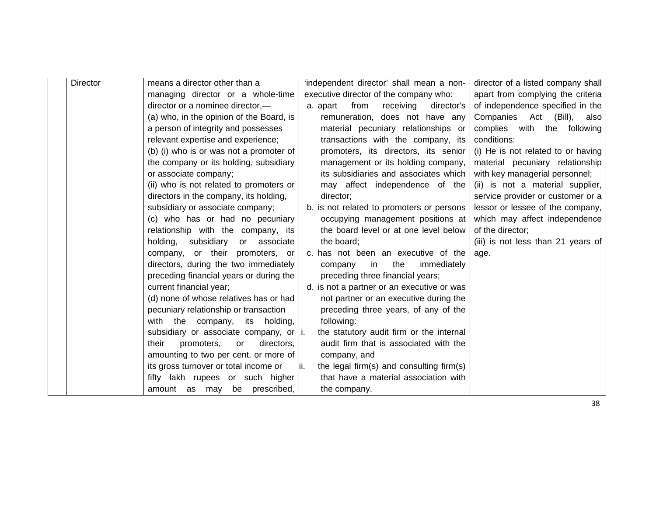| <b>Director</b> | means a director other than a            | 'independent director' shall mean a non-                                          | director of a listed company shall |
|-----------------|------------------------------------------|-----------------------------------------------------------------------------------|------------------------------------|
|                 | managing director or a whole-time        | executive director of the company who:                                            | apart from complying the criteria  |
|                 | director or a nominee director,-         | from<br>receiving<br>director's<br>a. apart                                       | of independence specified in the   |
|                 | (a) who, in the opinion of the Board, is | remuneration, does not have any                                                   | Companies Act (Bill), also         |
|                 | a person of integrity and possesses      | material pecuniary relationships or                                               | complies with the<br>following     |
|                 | relevant expertise and experience;       | transactions with the company, its                                                | conditions:                        |
|                 | (b) (i) who is or was not a promoter of  | promoters, its directors, its senior                                              | (i) He is not related to or having |
|                 | the company or its holding, subsidiary   | management or its holding company,                                                | material pecuniary relationship    |
|                 | or associate company;                    | its subsidiaries and associates which                                             | with key managerial personnel;     |
|                 | (ii) who is not related to promoters or  | may affect independence of the                                                    | (ii) is not a material supplier,   |
|                 | directors in the company, its holding,   | director:                                                                         | service provider or customer or a  |
|                 | subsidiary or associate company;         | b. is not related to promoters or persons                                         | lessor or lessee of the company,   |
|                 | (c) who has or had no pecuniary          | occupying management positions at                                                 | which may affect independence      |
|                 | relationship with the company, its       | the board level or at one level below                                             | of the director;                   |
|                 | holding, subsidiary or associate         | the board;                                                                        | (iii) is not less than 21 years of |
|                 | company, or their promoters, or          | c. has not been an executive of the                                               | age.                               |
|                 | directors, during the two immediately    | immediately<br>in<br>the<br>company                                               |                                    |
|                 | preceding financial years or during the  | preceding three financial years;                                                  |                                    |
|                 | current financial year;                  | d. is not a partner or an executive or was                                        |                                    |
|                 | (d) none of whose relatives has or had   | not partner or an executive during the                                            |                                    |
|                 | pecuniary relationship or transaction    | preceding three years, of any of the                                              |                                    |
|                 | with the company, its holding,           | following:                                                                        |                                    |
|                 | subsidiary or associate company, or  i.  | the statutory audit firm or the internal                                          |                                    |
|                 | their<br>promoters,<br>directors.<br>or  | audit firm that is associated with the                                            |                                    |
|                 | amounting to two per cent. or more of    | company, and                                                                      |                                    |
|                 | its gross turnover or total income or    | the legal firm(s) and consulting firm(s)<br>that have a material association with |                                    |
|                 | fifty lakh rupees or such higher         |                                                                                   |                                    |
|                 | amount as may be prescribed,             | the company.                                                                      |                                    |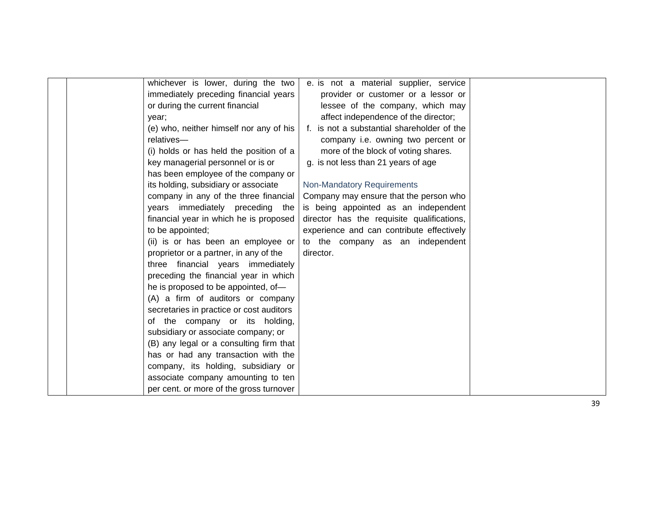|  | whichever is lower, during the two       | e. is not a material supplier, service     |  |
|--|------------------------------------------|--------------------------------------------|--|
|  | immediately preceding financial years    | provider or customer or a lessor or        |  |
|  | or during the current financial          | lessee of the company, which may           |  |
|  | year;                                    | affect independence of the director;       |  |
|  | (e) who, neither himself nor any of his  | f. is not a substantial shareholder of the |  |
|  | relatives-                               | company <i>i.e.</i> owning two percent or  |  |
|  | (i) holds or has held the position of a  | more of the block of voting shares.        |  |
|  | key managerial personnel or is or        | g. is not less than 21 years of age        |  |
|  | has been employee of the company or      |                                            |  |
|  | its holding, subsidiary or associate     | Non-Mandatory Requirements                 |  |
|  | company in any of the three financial    | Company may ensure that the person who     |  |
|  | years immediately preceding the          | is being appointed as an independent       |  |
|  | financial year in which he is proposed   | director has the requisite qualifications, |  |
|  | to be appointed;                         | experience and can contribute effectively  |  |
|  | (ii) is or has been an employee or       | to the company as an independent           |  |
|  | proprietor or a partner, in any of the   | director.                                  |  |
|  | three financial years immediately        |                                            |  |
|  | preceding the financial year in which    |                                            |  |
|  | he is proposed to be appointed, of-      |                                            |  |
|  | (A) a firm of auditors or company        |                                            |  |
|  | secretaries in practice or cost auditors |                                            |  |
|  | of the company or its holding,           |                                            |  |
|  | subsidiary or associate company; or      |                                            |  |
|  | (B) any legal or a consulting firm that  |                                            |  |
|  | has or had any transaction with the      |                                            |  |
|  | company, its holding, subsidiary or      |                                            |  |
|  | associate company amounting to ten       |                                            |  |
|  | per cent. or more of the gross turnover  |                                            |  |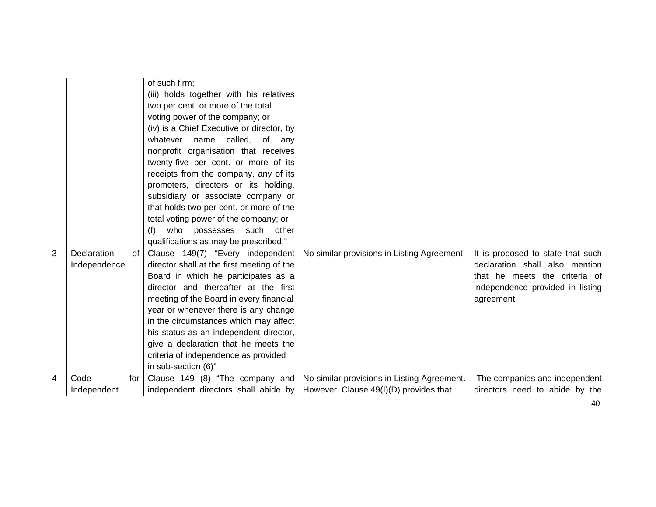|   |                                         | of such firm;<br>(iii) holds together with his relatives<br>two per cent. or more of the total<br>voting power of the company; or<br>(iv) is a Chief Executive or director, by<br>whatever name called,<br>of<br>anv<br>nonprofit organisation that receives<br>twenty-five per cent. or more of its<br>receipts from the company, any of its<br>promoters, directors or its holding,<br>subsidiary or associate company or<br>that holds two per cent. or more of the<br>total voting power of the company; or<br>who possesses such other<br>(f) |                                                                                       |                                                                                                                                                        |
|---|-----------------------------------------|----------------------------------------------------------------------------------------------------------------------------------------------------------------------------------------------------------------------------------------------------------------------------------------------------------------------------------------------------------------------------------------------------------------------------------------------------------------------------------------------------------------------------------------------------|---------------------------------------------------------------------------------------|--------------------------------------------------------------------------------------------------------------------------------------------------------|
| 3 | Declaration<br>of<br>Independence       | qualifications as may be prescribed."<br>Clause 149(7) "Every independent<br>director shall at the first meeting of the<br>Board in which he participates as a<br>director and thereafter at the first<br>meeting of the Board in every financial<br>year or whenever there is any change<br>in the circumstances which may affect<br>his status as an independent director,<br>give a declaration that he meets the<br>criteria of independence as provided<br>in sub-section (6)"                                                                | No similar provisions in Listing Agreement                                            | It is proposed to state that such<br>declaration shall also mention<br>that he meets the criteria of<br>independence provided in listing<br>agreement. |
| 4 | Code<br>for <sub>l</sub><br>Independent | Clause 149 (8) "The company and<br>independent directors shall abide by                                                                                                                                                                                                                                                                                                                                                                                                                                                                            | No similar provisions in Listing Agreement.<br>However, Clause 49(I)(D) provides that | The companies and independent<br>directors need to abide by the                                                                                        |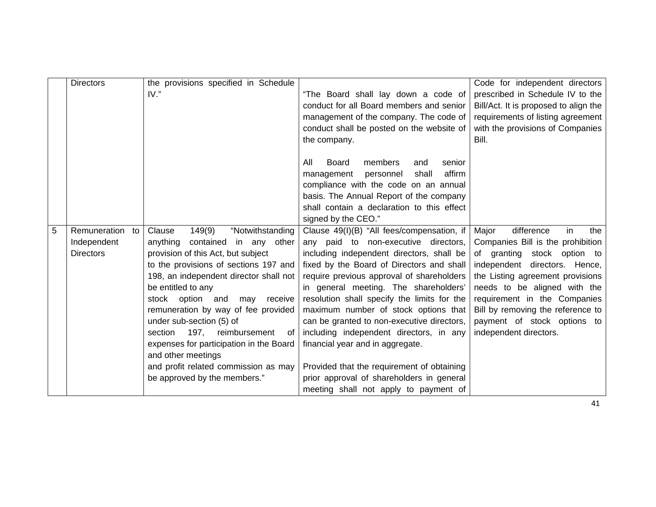|   | <b>Directors</b>                                   | the provisions specified in Schedule<br>IV."                                                                                                                                                                                                                                                                                                                                                                                                                                                                                     | "The Board shall lay down a code of<br>conduct for all Board members and senior<br>management of the company. The code of<br>conduct shall be posted on the website of<br>the company.<br><b>Board</b><br>members<br>All<br>and<br>senior<br>affirm<br>shall<br>management<br>personnel<br>compliance with the code on an annual<br>basis. The Annual Report of the company<br>shall contain a declaration to this effect<br>signed by the CEO."                                                                                                                                                                           | Code for independent directors<br>prescribed in Schedule IV to the<br>Bill/Act. It is proposed to align the<br>requirements of listing agreement<br>with the provisions of Companies<br>Bill.                                                                                                                                           |
|---|----------------------------------------------------|----------------------------------------------------------------------------------------------------------------------------------------------------------------------------------------------------------------------------------------------------------------------------------------------------------------------------------------------------------------------------------------------------------------------------------------------------------------------------------------------------------------------------------|----------------------------------------------------------------------------------------------------------------------------------------------------------------------------------------------------------------------------------------------------------------------------------------------------------------------------------------------------------------------------------------------------------------------------------------------------------------------------------------------------------------------------------------------------------------------------------------------------------------------------|-----------------------------------------------------------------------------------------------------------------------------------------------------------------------------------------------------------------------------------------------------------------------------------------------------------------------------------------|
| 5 | Remuneration to<br>Independent<br><b>Directors</b> | 149(9)<br>Clause<br>"Notwithstanding<br>in any other<br>anything<br>contained<br>provision of this Act, but subject<br>to the provisions of sections 197 and<br>198, an independent director shall not<br>be entitled to any<br>option<br>stock<br>and<br>may<br>receive<br>remuneration by way of fee provided<br>under sub-section (5) of<br>197.<br>reimbursement<br>section<br>. of<br>expenses for participation in the Board<br>and other meetings<br>and profit related commission as may<br>be approved by the members." | Clause 49(I)(B) "All fees/compensation, if<br>any paid to non-executive directors,<br>including independent directors, shall be<br>fixed by the Board of Directors and shall<br>require previous approval of shareholders<br>in general meeting. The shareholders'<br>resolution shall specify the limits for the<br>maximum number of stock options that<br>can be granted to non-executive directors,<br>including independent directors, in any<br>financial year and in aggregate.<br>Provided that the requirement of obtaining<br>prior approval of shareholders in general<br>meeting shall not apply to payment of | difference<br>Major<br>in<br>the<br>Companies Bill is the prohibition<br>of granting stock option to<br>independent directors. Hence,<br>the Listing agreement provisions<br>needs to be aligned with the<br>requirement in the Companies<br>Bill by removing the reference to<br>payment of stock options to<br>independent directors. |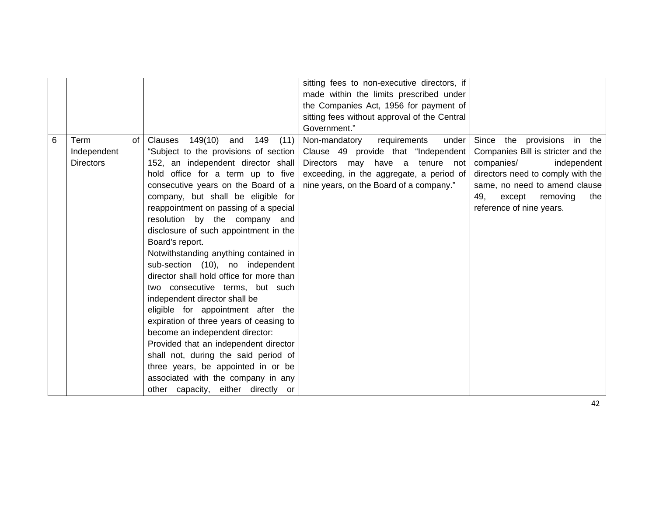|   |                  |                                          | sitting fees to non-executive directors, if  |                                    |
|---|------------------|------------------------------------------|----------------------------------------------|------------------------------------|
|   |                  |                                          | made within the limits prescribed under      |                                    |
|   |                  |                                          | the Companies Act, 1956 for payment of       |                                    |
|   |                  |                                          | sitting fees without approval of the Central |                                    |
|   |                  |                                          | Government."                                 |                                    |
| 6 | Term<br>Ωf       | 149(10)<br>149<br>(11)<br>Clauses<br>and | under<br>Non-mandatory<br>requirements       | provisions in the<br>Since<br>the  |
|   | Independent      | "Subject to the provisions of section    | Clause 49 provide that "Independent          | Companies Bill is stricter and the |
|   | <b>Directors</b> | 152, an independent director shall       | Directors may<br>have a<br>tenure not        | companies/<br>independent          |
|   |                  | hold office for a term up to five        | exceeding, in the aggregate, a period of     | directors need to comply with the  |
|   |                  | consecutive years on the Board of a      | nine years, on the Board of a company."      | same, no need to amend clause      |
|   |                  | company, but shall be eligible for       |                                              | 49.<br>except<br>removing<br>the   |
|   |                  | reappointment on passing of a special    |                                              | reference of nine years.           |
|   |                  | resolution by the company and            |                                              |                                    |
|   |                  | disclosure of such appointment in the    |                                              |                                    |
|   |                  | Board's report.                          |                                              |                                    |
|   |                  | Notwithstanding anything contained in    |                                              |                                    |
|   |                  | sub-section (10), no independent         |                                              |                                    |
|   |                  | director shall hold office for more than |                                              |                                    |
|   |                  | two consecutive terms, but such          |                                              |                                    |
|   |                  | independent director shall be            |                                              |                                    |
|   |                  | eligible for appointment after the       |                                              |                                    |
|   |                  | expiration of three years of ceasing to  |                                              |                                    |
|   |                  | become an independent director:          |                                              |                                    |
|   |                  | Provided that an independent director    |                                              |                                    |
|   |                  | shall not, during the said period of     |                                              |                                    |
|   |                  | three years, be appointed in or be       |                                              |                                    |
|   |                  | associated with the company in any       |                                              |                                    |
|   |                  | other capacity, either directly or       |                                              |                                    |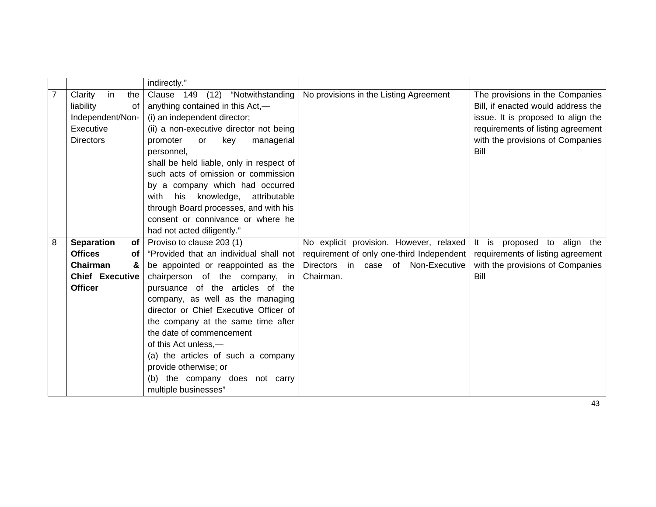|   |                         | indirectly."                              |                                           |                                    |
|---|-------------------------|-------------------------------------------|-------------------------------------------|------------------------------------|
| 7 | in<br>the<br>Clarity    | Clause 149<br>(12) "Notwithstanding       | No provisions in the Listing Agreement    | The provisions in the Companies    |
|   | liability<br>of         | anything contained in this Act,—          |                                           | Bill, if enacted would address the |
|   | Independent/Non-        | (i) an independent director;              |                                           | issue. It is proposed to align the |
|   | Executive               | (ii) a non-executive director not being   |                                           | requirements of listing agreement  |
|   | <b>Directors</b>        | promoter<br>key<br>managerial<br>or       |                                           | with the provisions of Companies   |
|   |                         | personnel,                                |                                           | Bill                               |
|   |                         | shall be held liable, only in respect of  |                                           |                                    |
|   |                         | such acts of omission or commission       |                                           |                                    |
|   |                         | by a company which had occurred           |                                           |                                    |
|   |                         | knowledge,<br>with<br>his<br>attributable |                                           |                                    |
|   |                         | through Board processes, and with his     |                                           |                                    |
|   |                         | consent or connivance or where he         |                                           |                                    |
|   |                         | had not acted diligently."                |                                           |                                    |
| 8 | <b>Separation</b><br>of | Proviso to clause 203 (1)                 | No explicit provision. However, relaxed   | It is proposed to align the        |
|   | <b>Offices</b><br>of    | "Provided that an individual shall not    | requirement of only one-third Independent | requirements of listing agreement  |
|   | Chairman<br>&           | be appointed or reappointed as the        | Directors in case of Non-Executive        | with the provisions of Companies   |
|   | <b>Chief Executive</b>  | chairperson of the company, in            | Chairman.                                 | Bill                               |
|   | <b>Officer</b>          | pursuance of the articles of the          |                                           |                                    |
|   |                         | company, as well as the managing          |                                           |                                    |
|   |                         | director or Chief Executive Officer of    |                                           |                                    |
|   |                         | the company at the same time after        |                                           |                                    |
|   |                         | the date of commencement                  |                                           |                                    |
|   |                         | of this Act unless,-                      |                                           |                                    |
|   |                         | (a) the articles of such a company        |                                           |                                    |
|   |                         | provide otherwise; or                     |                                           |                                    |
|   |                         | (b) the company does not carry            |                                           |                                    |
|   |                         | multiple businesses"                      |                                           |                                    |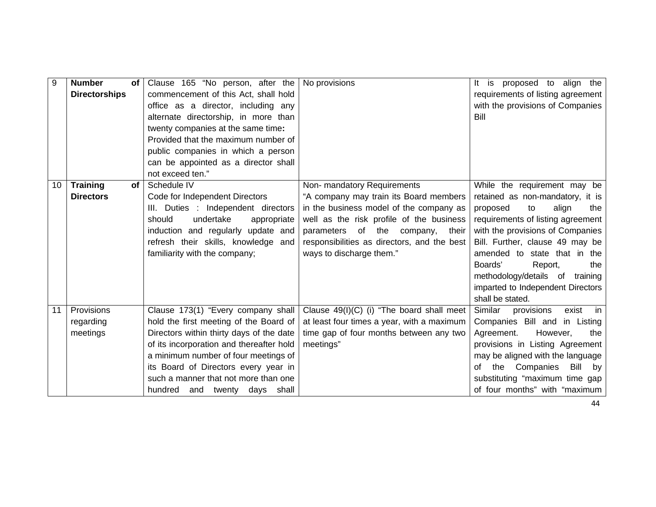| 9  | <b>Number</b>        | of | Clause 165 "No person, after the         | No provisions                               | It is<br>proposed to align the       |
|----|----------------------|----|------------------------------------------|---------------------------------------------|--------------------------------------|
|    | <b>Directorships</b> |    | commencement of this Act, shall hold     |                                             | requirements of listing agreement    |
|    |                      |    | office as a director, including any      |                                             | with the provisions of Companies     |
|    |                      |    | alternate directorship, in more than     |                                             | <b>Bill</b>                          |
|    |                      |    | twenty companies at the same time:       |                                             |                                      |
|    |                      |    | Provided that the maximum number of      |                                             |                                      |
|    |                      |    |                                          |                                             |                                      |
|    |                      |    | public companies in which a person       |                                             |                                      |
|    |                      |    | can be appointed as a director shall     |                                             |                                      |
|    |                      |    | not exceed ten."                         |                                             |                                      |
| 10 | <b>Training</b>      | of | Schedule IV                              | Non- mandatory Requirements                 | While the requirement may be         |
|    | <b>Directors</b>     |    | Code for Independent Directors           | "A company may train its Board members      | retained as non-mandatory, it is     |
|    |                      |    | III. Duties : Independent directors      | in the business model of the company as     | proposed<br>to<br>align<br>the       |
|    |                      |    | undertake<br>should<br>appropriate       | well as the risk profile of the business    | requirements of listing agreement    |
|    |                      |    | induction and regularly update and       | of the<br>parameters<br>company,<br>their   | with the provisions of Companies     |
|    |                      |    | refresh their skills, knowledge and      | responsibilities as directors, and the best | Bill. Further, clause 49 may be      |
|    |                      |    | familiarity with the company;            | ways to discharge them."                    | amended to state that in the         |
|    |                      |    |                                          |                                             | Boards'<br>Report,<br>the            |
|    |                      |    |                                          |                                             | methodology/details of training      |
|    |                      |    |                                          |                                             | imparted to Independent Directors    |
|    |                      |    |                                          |                                             | shall be stated.                     |
| 11 | Provisions           |    | Clause 173(1) "Every company shall       | Clause 49(I)(C) (i) "The board shall meet   | Similar<br>exist<br>in<br>provisions |
|    | regarding            |    | hold the first meeting of the Board of   | at least four times a year, with a maximum  | Companies Bill and in Listing        |
|    | meetings             |    | Directors within thirty days of the date | time gap of four months between any two     | Agreement.<br>However,<br>the        |
|    |                      |    | of its incorporation and thereafter hold | meetings"                                   | provisions in Listing Agreement      |
|    |                      |    | a minimum number of four meetings of     |                                             | may be aligned with the language     |
|    |                      |    | its Board of Directors every year in     |                                             | Companies<br>Bill<br>οf<br>the<br>by |
|    |                      |    | such a manner that not more than one     |                                             | substituting "maximum time gap       |
|    |                      |    | hundred and twenty days shall            |                                             | of four months" with "maximum        |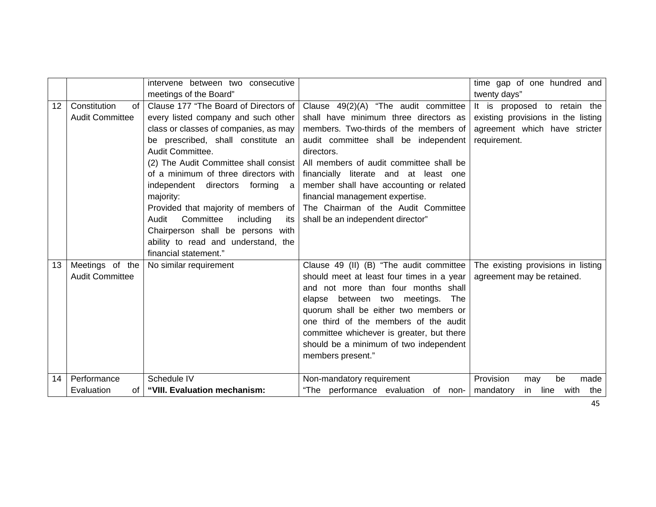|    |                                              | intervene between two consecutive<br>meetings of the Board"                                                                                                                                                                                                                                                                                                                                                                                                     |                                                                                                                                                                                                                                                                                                                                                                                                                                                                 | time gap of one hundred and<br>twenty days"                                                                         |
|----|----------------------------------------------|-----------------------------------------------------------------------------------------------------------------------------------------------------------------------------------------------------------------------------------------------------------------------------------------------------------------------------------------------------------------------------------------------------------------------------------------------------------------|-----------------------------------------------------------------------------------------------------------------------------------------------------------------------------------------------------------------------------------------------------------------------------------------------------------------------------------------------------------------------------------------------------------------------------------------------------------------|---------------------------------------------------------------------------------------------------------------------|
| 12 | Constitution<br>of<br><b>Audit Committee</b> | Clause 177 "The Board of Directors of<br>every listed company and such other<br>class or classes of companies, as may<br>be prescribed, shall constitute an<br>Audit Committee.<br>(2) The Audit Committee shall consist<br>of a minimum of three directors with<br>independent directors forming a<br>majority:<br>Committee<br>Audit<br>including<br>its<br>Chairperson shall be persons with<br>ability to read and understand, the<br>financial statement." | Clause 49(2)(A) "The audit committee<br>shall have minimum three directors as<br>members. Two-thirds of the members of<br>audit committee shall be independent<br>directors.<br>All members of audit committee shall be<br>financially literate and at least one<br>member shall have accounting or related<br>financial management expertise.<br>Provided that majority of members of The Chairman of the Audit Committee<br>shall be an independent director" | It is proposed to retain the<br>existing provisions in the listing<br>agreement which have stricter<br>requirement. |
| 13 | Meetings of the<br><b>Audit Committee</b>    | No similar requirement                                                                                                                                                                                                                                                                                                                                                                                                                                          | Clause 49 (II) (B) "The audit committee<br>should meet at least four times in a year<br>and not more than four months shall<br>elapse between two meetings. The<br>quorum shall be either two members or<br>one third of the members of the audit<br>committee whichever is greater, but there<br>should be a minimum of two independent<br>members present."                                                                                                   | The existing provisions in listing<br>agreement may be retained.                                                    |
| 14 | Performance<br>Evaluation<br>of l            | Schedule IV<br>"VIII. Evaluation mechanism:                                                                                                                                                                                                                                                                                                                                                                                                                     | Non-mandatory requirement<br>"The performance evaluation of non-   mandatory                                                                                                                                                                                                                                                                                                                                                                                    | Provision<br>be<br>made<br>may<br>in line with the                                                                  |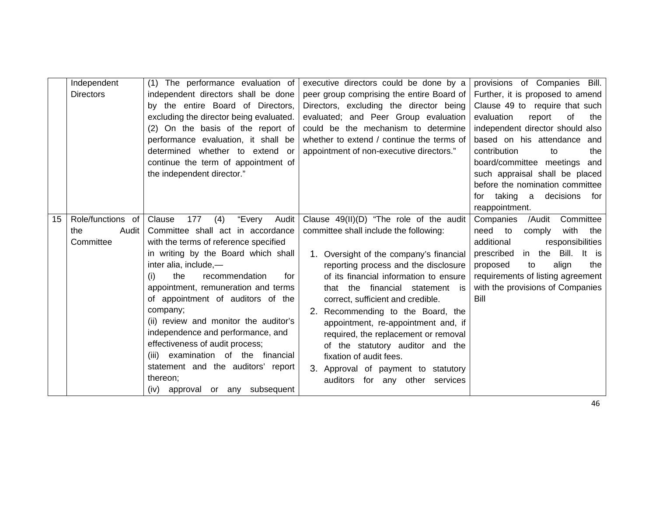|    | Independent       | (1) The performance evaluation of       | executive directors could be done by a    | provisions of Companies Bill.       |
|----|-------------------|-----------------------------------------|-------------------------------------------|-------------------------------------|
|    | <b>Directors</b>  | independent directors shall be done     | peer group comprising the entire Board of | Further, it is proposed to amend    |
|    |                   | by the entire Board of Directors,       | Directors, excluding the director being   | Clause 49 to require that such      |
|    |                   | excluding the director being evaluated. | evaluated; and Peer Group evaluation      | evaluation<br>report<br>of<br>the   |
|    |                   | (2) On the basis of the report of       | could be the mechanism to determine       | independent director should also    |
|    |                   | performance evaluation, it shall be     | whether to extend / continue the terms of | based on his attendance and         |
|    |                   | determined whether to extend<br>or      | appointment of non-executive directors."  | contribution<br>the<br>to           |
|    |                   | continue the term of appointment of     |                                           | board/committee meetings and        |
|    |                   | the independent director."              |                                           | such appraisal shall be placed      |
|    |                   |                                         |                                           | before the nomination committee     |
|    |                   |                                         |                                           | taking a<br>decisions<br>for<br>for |
|    |                   |                                         |                                           | reappointment.                      |
| 15 | Role/functions of | 177<br>(4)<br>"Every<br>Clause<br>Audit | Clause 49(II)(D) "The role of the audit   | /Audit<br>Committee<br>Companies    |
|    | Audit<br>the      | Committee shall act in accordance       | committee shall include the following:    | with<br>need to<br>comply<br>the    |
|    | Committee         | with the terms of reference specified   |                                           | additional<br>responsibilities      |
|    |                   | in writing by the Board which shall     | 1. Oversight of the company's financial   | in the<br>Bill. It is<br>prescribed |
|    |                   | inter alia, include,-                   | reporting process and the disclosure      | align<br>proposed<br>to<br>the      |
|    |                   | the<br>recommendation<br>(i)<br>for     | of its financial information to ensure    | requirements of listing agreement   |
|    |                   | appointment, remuneration and terms     | that the financial statement is           | with the provisions of Companies    |
|    |                   | of appointment of auditors of the       | correct, sufficient and credible.         | Bill                                |
|    |                   | company;                                | 2. Recommending to the Board, the         |                                     |
|    |                   | (ii) review and monitor the auditor's   | appointment, re-appointment and, if       |                                     |
|    |                   | independence and performance, and       | required, the replacement or removal      |                                     |
|    |                   | effectiveness of audit process;         | of the statutory auditor and the          |                                     |
|    |                   | (iii) examination of the financial      | fixation of audit fees.                   |                                     |
|    |                   | statement and the auditors' report      | Approval of payment to statutory          |                                     |
|    |                   | thereon:                                | auditors for any other<br>services        |                                     |
|    |                   | approval or any subsequent<br>(iv)      |                                           |                                     |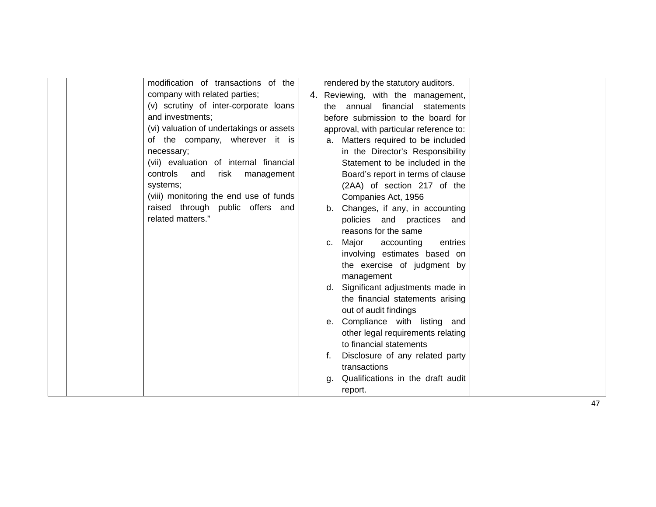|  | modification of transactions of the      |             | rendered by the statutory auditors.     |  |
|--|------------------------------------------|-------------|-----------------------------------------|--|
|  | company with related parties;            |             | 4. Reviewing, with the management,      |  |
|  | (v) scrutiny of inter-corporate loans    |             | the annual financial statements         |  |
|  | and investments;                         |             | before submission to the board for      |  |
|  | (vi) valuation of undertakings or assets |             | approval, with particular reference to: |  |
|  | of the company, wherever it is           |             | a. Matters required to be included      |  |
|  | necessary;                               |             | in the Director's Responsibility        |  |
|  | (vii) evaluation of internal financial   |             | Statement to be included in the         |  |
|  | controls<br>and<br>risk management       |             | Board's report in terms of clause       |  |
|  | systems;                                 |             | (2AA) of section 217 of the             |  |
|  | (viii) monitoring the end use of funds   |             | Companies Act, 1956                     |  |
|  | raised through public offers and         |             | b. Changes, if any, in accounting       |  |
|  | related matters."                        |             | policies and practices and              |  |
|  |                                          |             | reasons for the same                    |  |
|  |                                          | $C_{\cdot}$ | Major<br>accounting<br>entries          |  |
|  |                                          |             | involving estimates based on            |  |
|  |                                          |             | the exercise of judgment by             |  |
|  |                                          |             | management                              |  |
|  |                                          |             | d. Significant adjustments made in      |  |
|  |                                          |             | the financial statements arising        |  |
|  |                                          |             | out of audit findings                   |  |
|  |                                          |             | e. Compliance with listing and          |  |
|  |                                          |             | other legal requirements relating       |  |
|  |                                          |             | to financial statements                 |  |
|  |                                          |             | Disclosure of any related party         |  |
|  |                                          |             | transactions                            |  |
|  |                                          | q.          | Qualifications in the draft audit       |  |
|  |                                          |             | report.                                 |  |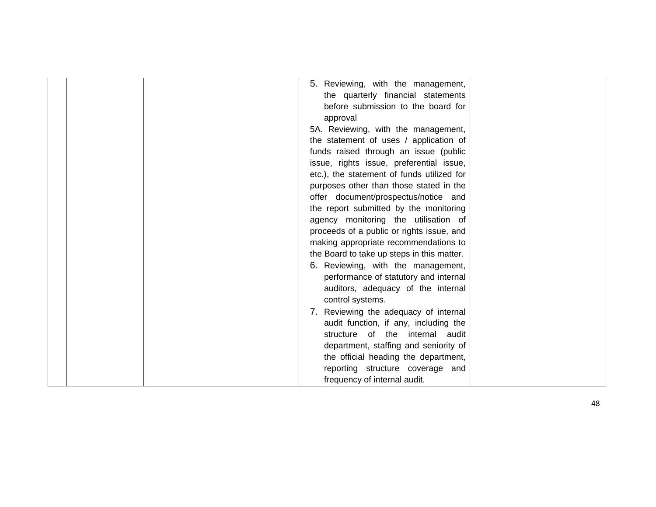| 5. Reviewing, with the management,         |  |
|--------------------------------------------|--|
| the quarterly financial statements         |  |
| before submission to the board for         |  |
| approval                                   |  |
| 5A. Reviewing, with the management,        |  |
| the statement of uses / application of     |  |
| funds raised through an issue (public      |  |
| issue, rights issue, preferential issue,   |  |
| etc.), the statement of funds utilized for |  |
| purposes other than those stated in the    |  |
| offer document/prospectus/notice and       |  |
| the report submitted by the monitoring     |  |
| agency monitoring the utilisation of       |  |
| proceeds of a public or rights issue, and  |  |
| making appropriate recommendations to      |  |
| the Board to take up steps in this matter. |  |
| 6. Reviewing, with the management,         |  |
| performance of statutory and internal      |  |
| auditors, adequacy of the internal         |  |
| control systems.                           |  |
| 7. Reviewing the adequacy of internal      |  |
| audit function, if any, including the      |  |
| of the<br>structure<br>internal audit      |  |
| department, staffing and seniority of      |  |
| the official heading the department,       |  |
| reporting structure coverage and           |  |
| frequency of internal audit.               |  |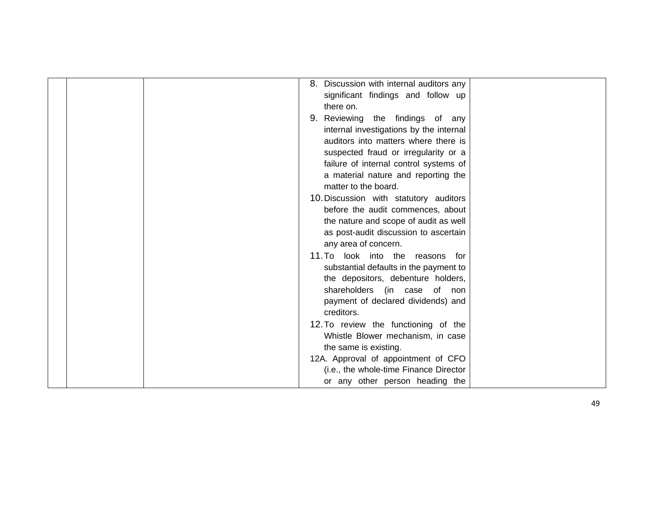|  |                       | 8. Discussion with internal auditors any |  |
|--|-----------------------|------------------------------------------|--|
|  |                       | significant findings and follow up       |  |
|  | there on.             |                                          |  |
|  |                       | 9. Reviewing the findings of any         |  |
|  |                       | internal investigations by the internal  |  |
|  |                       | auditors into matters where there is     |  |
|  |                       | suspected fraud or irregularity or a     |  |
|  |                       | failure of internal control systems of   |  |
|  |                       | a material nature and reporting the      |  |
|  | matter to the board.  |                                          |  |
|  |                       | 10. Discussion with statutory auditors   |  |
|  |                       | before the audit commences, about        |  |
|  |                       | the nature and scope of audit as well    |  |
|  |                       | as post-audit discussion to ascertain    |  |
|  | any area of concern.  |                                          |  |
|  |                       | 11. To look into the reasons for         |  |
|  |                       | substantial defaults in the payment to   |  |
|  |                       | the depositors, debenture holders,       |  |
|  |                       | shareholders (in case of non             |  |
|  |                       | payment of declared dividends) and       |  |
|  | creditors.            |                                          |  |
|  |                       | 12. To review the functioning of the     |  |
|  |                       | Whistle Blower mechanism, in case        |  |
|  | the same is existing. |                                          |  |
|  |                       | 12A. Approval of appointment of CFO      |  |
|  |                       | (i.e., the whole-time Finance Director   |  |
|  |                       | or any other person heading the          |  |
|  |                       |                                          |  |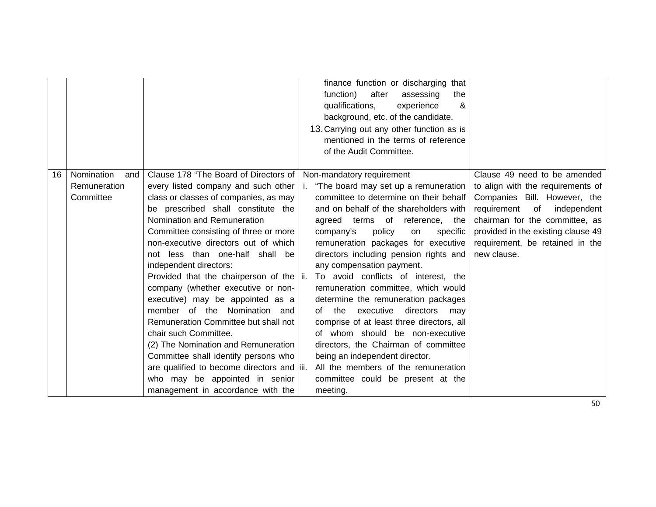|    |                                                |                                                                                                                                                                                                                                                                                                                                                                                                                                                                                                                                                                                                                                                                                                                                                                         | finance function or discharging that<br>function)<br>after<br>assessing<br>the<br>qualifications,<br>&<br>experience<br>background, etc. of the candidate.<br>13. Carrying out any other function as is<br>mentioned in the terms of reference<br>of the Audit Committee.                                                                                                                                                                                                                                                                                                                                                                                                                                                                                                 |                                                                                                                                                                                                                                                                 |
|----|------------------------------------------------|-------------------------------------------------------------------------------------------------------------------------------------------------------------------------------------------------------------------------------------------------------------------------------------------------------------------------------------------------------------------------------------------------------------------------------------------------------------------------------------------------------------------------------------------------------------------------------------------------------------------------------------------------------------------------------------------------------------------------------------------------------------------------|---------------------------------------------------------------------------------------------------------------------------------------------------------------------------------------------------------------------------------------------------------------------------------------------------------------------------------------------------------------------------------------------------------------------------------------------------------------------------------------------------------------------------------------------------------------------------------------------------------------------------------------------------------------------------------------------------------------------------------------------------------------------------|-----------------------------------------------------------------------------------------------------------------------------------------------------------------------------------------------------------------------------------------------------------------|
| 16 | Nomination<br>and<br>Remuneration<br>Committee | Clause 178 "The Board of Directors of<br>every listed company and such other<br>class or classes of companies, as may<br>be prescribed shall constitute the<br>Nomination and Remuneration<br>Committee consisting of three or more<br>non-executive directors out of which<br>not less than one-half shall be<br>independent directors:<br>Provided that the chairperson of the  ii.<br>company (whether executive or non-<br>executive) may be appointed as a<br>member of the Nomination<br>and<br>Remuneration Committee but shall not<br>chair such Committee.<br>(2) The Nomination and Remuneration<br>Committee shall identify persons who<br>are qualified to become directors and iii.<br>who may be appointed in senior<br>management in accordance with the | Non-mandatory requirement<br>"The board may set up a remuneration<br>j.<br>committee to determine on their behalf<br>and on behalf of the shareholders with<br>agreed terms of reference, the<br>policy<br>company's<br>specific<br>on<br>remuneration packages for executive<br>directors including pension rights and<br>any compensation payment.<br>To avoid conflicts of interest, the<br>remuneration committee, which would<br>determine the remuneration packages<br>executive<br>the<br>directors<br>of<br>may<br>comprise of at least three directors, all<br>of whom should be non-executive<br>directors, the Chairman of committee<br>being an independent director.<br>All the members of the remuneration<br>committee could be present at the<br>meeting. | Clause 49 need to be amended<br>to align with the requirements of<br>Companies Bill. However, the<br>of<br>requirement<br>independent<br>chairman for the committee, as<br>provided in the existing clause 49<br>requirement, be retained in the<br>new clause. |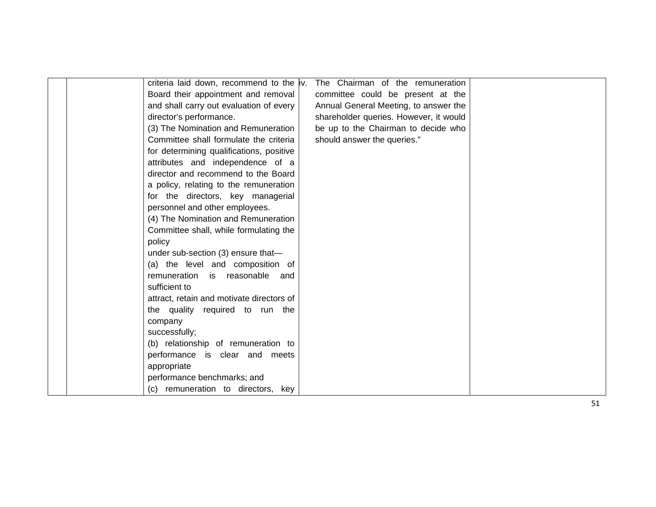|  | criteria laid down, recommend to the iv.  | The Chairman of the remuneration       |  |
|--|-------------------------------------------|----------------------------------------|--|
|  | Board their appointment and removal       | committee could be present at the      |  |
|  | and shall carry out evaluation of every   | Annual General Meeting, to answer the  |  |
|  | director's performance.                   | shareholder queries. However, it would |  |
|  | (3) The Nomination and Remuneration       | be up to the Chairman to decide who    |  |
|  | Committee shall formulate the criteria    | should answer the queries."            |  |
|  | for determining qualifications, positive  |                                        |  |
|  | attributes and independence of a          |                                        |  |
|  | director and recommend to the Board       |                                        |  |
|  | a policy, relating to the remuneration    |                                        |  |
|  | for the directors, key managerial         |                                        |  |
|  | personnel and other employees.            |                                        |  |
|  | (4) The Nomination and Remuneration       |                                        |  |
|  | Committee shall, while formulating the    |                                        |  |
|  | policy                                    |                                        |  |
|  | under sub-section (3) ensure that-        |                                        |  |
|  | (a) the level and composition of          |                                        |  |
|  | remuneration is reasonable<br>and         |                                        |  |
|  | sufficient to                             |                                        |  |
|  | attract, retain and motivate directors of |                                        |  |
|  | the quality required to run the           |                                        |  |
|  | company                                   |                                        |  |
|  | successfully;                             |                                        |  |
|  | (b) relationship of remuneration to       |                                        |  |
|  | performance is clear and meets            |                                        |  |
|  | appropriate                               |                                        |  |
|  | performance benchmarks; and               |                                        |  |
|  | (c) remuneration to directors, key        |                                        |  |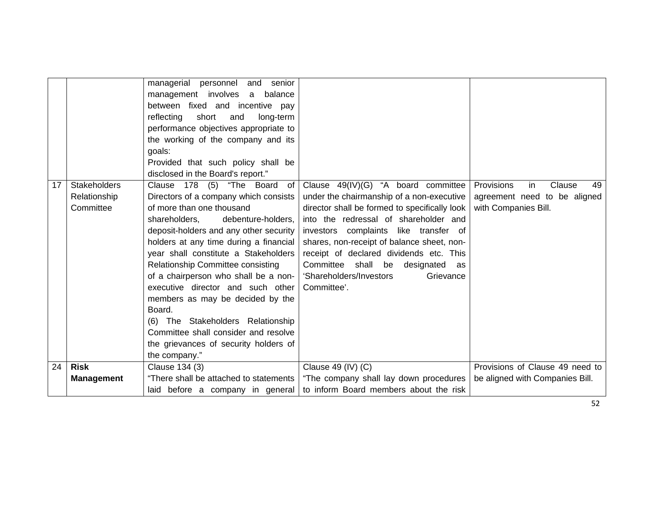|    |                                                  | managerial personnel<br>and<br>senior<br>management involves<br>balance<br>a<br>between fixed and incentive pay<br>short<br>and<br>long-term<br>reflecting<br>performance objectives appropriate to<br>the working of the company and its<br>goals:<br>Provided that such policy shall be<br>disclosed in the Board's report."                                                                                                                                                                                                                                               |                                                                                                                                                                                                                                                                                                                                                                                                                  |                                                                                          |
|----|--------------------------------------------------|------------------------------------------------------------------------------------------------------------------------------------------------------------------------------------------------------------------------------------------------------------------------------------------------------------------------------------------------------------------------------------------------------------------------------------------------------------------------------------------------------------------------------------------------------------------------------|------------------------------------------------------------------------------------------------------------------------------------------------------------------------------------------------------------------------------------------------------------------------------------------------------------------------------------------------------------------------------------------------------------------|------------------------------------------------------------------------------------------|
| 17 | <b>Stakeholders</b><br>Relationship<br>Committee | Clause 178 (5) "The Board of<br>Directors of a company which consists<br>of more than one thousand<br>shareholders,<br>debenture-holders,<br>deposit-holders and any other security<br>holders at any time during a financial<br>year shall constitute a Stakeholders<br>Relationship Committee consisting<br>of a chairperson who shall be a non-<br>executive director and such other<br>members as may be decided by the<br>Board.<br>(6) The Stakeholders Relationship<br>Committee shall consider and resolve<br>the grievances of security holders of<br>the company." | Clause 49(IV)(G) "A board committee<br>under the chairmanship of a non-executive<br>director shall be formed to specifically look<br>into the redressal of shareholder and<br>investors complaints like transfer of<br>shares, non-receipt of balance sheet, non-<br>receipt of declared dividends etc. This<br>Committee shall<br>be<br>designated<br>as<br>'Shareholders/Investors<br>Grievance<br>Committee'. | Provisions<br>Clause<br>in<br>49<br>agreement need to be aligned<br>with Companies Bill. |
| 24 | <b>Risk</b><br><b>Management</b>                 | Clause 134 (3)<br>"There shall be attached to statements                                                                                                                                                                                                                                                                                                                                                                                                                                                                                                                     | Clause 49 (IV) (C)<br>"The company shall lay down procedures                                                                                                                                                                                                                                                                                                                                                     | Provisions of Clause 49 need to<br>be aligned with Companies Bill.                       |
|    |                                                  | laid before a company in general                                                                                                                                                                                                                                                                                                                                                                                                                                                                                                                                             | to inform Board members about the risk                                                                                                                                                                                                                                                                                                                                                                           |                                                                                          |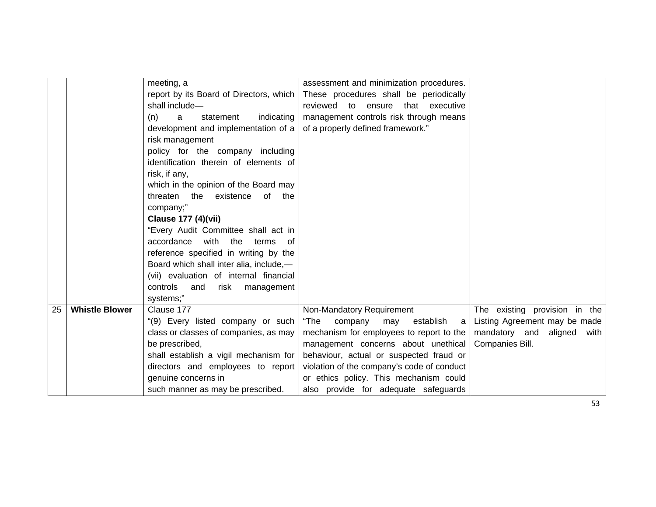|    |                       | meeting, a                               | assessment and minimization procedures.    |                               |
|----|-----------------------|------------------------------------------|--------------------------------------------|-------------------------------|
|    |                       | report by its Board of Directors, which  | These procedures shall be periodically     |                               |
|    |                       | shall include-                           | reviewed to ensure<br>that executive       |                               |
|    |                       | a<br>indicating<br>(n)<br>statement      | management controls risk through means     |                               |
|    |                       | development and implementation of a      | of a properly defined framework."          |                               |
|    |                       | risk management                          |                                            |                               |
|    |                       | policy for the company including         |                                            |                               |
|    |                       | identification therein of elements of    |                                            |                               |
|    |                       | risk, if any,                            |                                            |                               |
|    |                       | which in the opinion of the Board may    |                                            |                               |
|    |                       | threaten the existence<br>of<br>the      |                                            |                               |
|    |                       | company;"                                |                                            |                               |
|    |                       | <b>Clause 177 (4)(vii)</b>               |                                            |                               |
|    |                       | "Every Audit Committee shall act in      |                                            |                               |
|    |                       | accordance<br>with<br>the<br>terms<br>of |                                            |                               |
|    |                       | reference specified in writing by the    |                                            |                               |
|    |                       | Board which shall inter alia, include,-  |                                            |                               |
|    |                       | (vii) evaluation of internal financial   |                                            |                               |
|    |                       | controls and<br>risk management          |                                            |                               |
|    |                       | systems;"                                |                                            |                               |
| 25 | <b>Whistle Blower</b> | Clause 177                               | Non-Mandatory Requirement                  | The existing provision in the |
|    |                       | "(9) Every listed company or such        | "The<br>company may<br>establish<br>a      | Listing Agreement may be made |
|    |                       | class or classes of companies, as may    | mechanism for employees to report to the   | mandatory and aligned with    |
|    |                       | be prescribed,                           | management concerns about unethical        | Companies Bill.               |
|    |                       | shall establish a vigil mechanism for    | behaviour, actual or suspected fraud or    |                               |
|    |                       | directors and employees to report        | violation of the company's code of conduct |                               |
|    |                       | genuine concerns in                      | or ethics policy. This mechanism could     |                               |
|    |                       | such manner as may be prescribed.        | also provide for adequate safeguards       |                               |